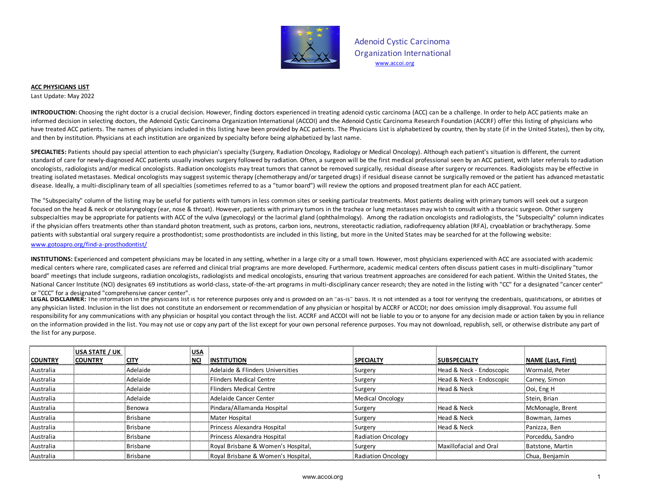

Adenoid Cystic Carcinoma Organization International www.accoi.org

## **ACC PHYSICIANS LIST**

Last Update: May 2022

**INTRODUCTION:** Choosing the right doctor is a crucial decision. However, finding doctors experienced in treating adenoid cystic carcinoma (ACC) can be a challenge. In order to help ACC patients make an informed decision in selecting doctors, the Adenoid Cystic Carcinoma Organization International (ACCOI) and the Adenoid Cystic Carcinoma Research Foundation (ACCRF) offer this listing of physicians who have treated ACC patients. The names of physicians included in this listing have been provided by ACC patients. The Physicians List is alphabetized by country, then by state (if in the United States), then by city, and then by institution. Physicians at each institution are organized by specialty before being alphabetized by last name.

**SPECIALTIES:** Patients should pay special attention to each physician's specialty (Surgery, Radiation Oncology, Radiology or Medical Oncology). Although each patient's situation is different, the current standard of care for newly-diagnosed ACC patients usually involves surgery followed by radiation. Often, a surgeon will be the first medical professional seen by an ACC patient, with later referrals to radiation oncologists, radiologists and/or medical oncologists. Radiation oncologists may treat tumors that cannot be removed surgically, residual disease after surgery or recurrences. Radiologists may be effective in treating isolated metastases. Medical oncologists may suggest systemic therapy (chemotherapy and/or targeted drugs) if residual disease cannot be surgically removed or the patient has advanced metastatic disease. Ideally, a multi-disciplinary team of all specialties (sometimes referred to as a "tumor board") will review the options and proposed treatment plan for each ACC patient.

The "Subspecialty" column of the listing may be useful for patients with tumors in less common sites or seeking particular treatments. Most patients dealing with primary tumors will seek out a surgeon focused on the head & neck or otolaryngology (ear, nose & throat). However, patients with primary tumors in the trachea or lung metastases may wish to consult with a thoracic surgeon. Other surgery subspecialties may be appropriate for patients with ACC of the vulva (gynecology) or the lacrimal gland (ophthalmology). Among the radiation oncologists and radiologists, the "Subspecialty" column indicates if the physician offers treatments other than standard photon treatment, such as protons, carbon ions, neutrons, stereotactic radiation, radiofrequency ablation (RFA), cryoablation or brachytherapy. Some patients with substantial oral surgery require a prosthodontist; some prosthodontists are included in this listing, but more in the United States may be searched for at the following website:

## www.gotoapro.org/find-a-prosthodontist/

**INSTITUTIONS:** Experienced and competent physicians may be located in any setting, whether in a large city or a small town. However, most physicians experienced with ACC are associated with academic medical centers where rare, complicated cases are referred and clinical trial programs are more developed. Furthermore, academic medical centers often discuss patient cases in multi-disciplinary "tumor board" meetings that include surgeons, radiation oncologists, radiologists and medical oncologists, ensuring that various treatment approaches are considered for each patient. Within the United States, the National Cancer Institute (NCI) designates 69 institutions as world-class, state-of-the-art programs in multi-disciplinary cancer research; they are noted in the listing with "CC" for a designated "cancer center" or "CCC" for a designated "comprehensive cancer center".

LEGAL DISCLAIMER: The information in the physicians list is for reference purposes only and is provided on an "as-is" basis. It is not intended as a tool for verifying the credentials, qualifications, or abilities of any physician listed. Inclusion in the list does not constitute an endorsement or recommendation of any physician or hospital by ACCRF or ACCOI; nor does omission imply disapproval. You assume full responsibility for any communications with any physician or hospital you contact through the list. ACCRF and ACCOI will not be liable to you or to anyone for any decision made or action taken by you in reliance on the information provided in the list. You may not use or copy any part of the list except for your own personal reference purposes. You may not download, republish, sell, or otherwise distribute any part of the list for any purpose.

|                | USA STATE / UK |             | <b>USA</b> |                                    |                    |                          |                           |
|----------------|----------------|-------------|------------|------------------------------------|--------------------|--------------------------|---------------------------|
| <b>COUNTRY</b> | <b>COUNTRY</b> | <b>CITY</b> | <b>NCI</b> | <b>INSTITUTION</b>                 | <b>SPECIALTY</b>   | <b>SUBSPECIALTY</b>      | <b>NAME</b> (Last, First) |
| Australia      |                | Adelaide    |            | Adelaide & Flinders Universities   | Surgery            | Head & Neck - Endoscopic | Wormald, Peter            |
| Australia      |                | Adelaide    |            | <b>Flinders Medical Centre</b>     | Surgery            | Head & Neck - Endoscopic | Carney, Simon             |
| Australia      |                | Adelaide    |            | Flinders Medical Centre            | Surgery            | Head & Neck              | Ooi. Eng H                |
| Australia      |                | Adelaide    |            | Adelaide Cancer Center             | Medical Oncology   |                          | Stein, Brian              |
| Australia      |                | Benowa      |            | Pindara/Allamanda Hospital         | Surgery            | Head & Neck              | McMonagle, Brent          |
| Australia      |                | Brisbane    |            | Mater Hospital                     | Surgery            | Head & Neck              | Bowman, James             |
| Australia      |                | Brisbane    |            | Princess Alexandra Hospital        | Surgery            | Head & Neck              | Panizza, Ben              |
| Australia      |                | Brisbane    |            | Princess Alexandra Hospital        | Radiation Oncology |                          | Porceddu. Sandro          |
| Australia      |                | Brisbane    |            | Roval Brisbane & Women's Hospital, | Surgery            | Maxillofacial and Oral   | Batstone, Martin          |
| Australia      |                | Brisbane    |            | Roval Brisbane & Women's Hospital. | Radiation Oncology |                          | Chua, Benjamin            |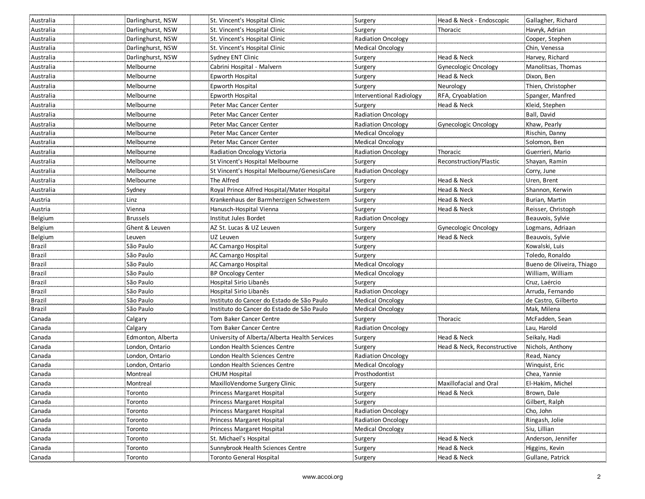| Australia     | Darlinghurst, NSW | St. Vincent's Hospital Clinic                 | Surgery                   | Head & Neck - Endoscopic    | Gallagher, Richard        |
|---------------|-------------------|-----------------------------------------------|---------------------------|-----------------------------|---------------------------|
| Australia     | Darlinghurst, NSW | St. Vincent's Hospital Clinic                 | Surgery                   | Thoracic                    | Havryk, Adrian            |
| Australia     | Darlinghurst, NSW | St. Vincent's Hospital Clinic                 | <b>Radiation Oncology</b> |                             | Cooper, Stephen           |
| Australia     | Darlinghurst, NSW | : St. Vincent's Hospital Clinic               | <b>Medical Oncology</b>   |                             | Chin, Venessa             |
| Australia     | Darlinghurst, NSW | Sydney ENT Clinic                             | Surgery                   | Head & Neck                 | Harvey, Richard           |
| Australia     | Melbourne         | Cabrini Hospital - Malvern                    | Surgery                   | <b>Gynecologic Oncology</b> | Manolitsas, Thomas        |
| Australia     | Melbourne         | Epworth Hospital                              | Surgery                   | Head & Neck                 | Dixon, Ben                |
| Australia     | Melbourne         | Epworth Hospital                              | Surgery                   | Neurology                   | Thien, Christopher        |
| Australia     | Melbourne         | Epworth Hospital                              | Interventional Radiology  | RFA, Cryoablation           | Spanger, Manfred          |
| Australia     | Melbourne         | Peter Mac Cancer Center                       | Surgery                   | Head & Neck                 | Kleid, Stephen            |
| Australia     | Melbourne         | Peter Mac Cancer Center                       | <b>Radiation Oncology</b> |                             | Ball, David               |
| Australia     | Melbourne         | Peter Mac Cancer Center                       | <b>Radiation Oncology</b> | Gynecologic Oncology        | Khaw, Pearly              |
| Australia     | Melbourne         | Peter Mac Cancer Center                       | <b>Medical Oncology</b>   |                             | Rischin, Danny            |
| Australia     | Melbourne         | Peter Mac Cancer Center                       | <b>Medical Oncology</b>   |                             | Solomon, Ben              |
| Australia     | Melbourne         | Radiation Oncology Victoria                   | <b>Radiation Oncology</b> | Thoracic                    | Guerrieri, Mario          |
| Australia     | Melbourne         | St Vincent's Hospital Melbourne               | Surgery                   | Reconstruction/Plastic      | Shayan, Ramin             |
| Australia     | Melbourne         | St Vincent's Hospital Melbourne/GenesisCare   | <b>Radiation Oncology</b> |                             | Corry, June               |
| Australia     | Melbourne         | The Alfred                                    | Surgery                   | Head & Neck                 | Uren, Brent               |
| Australia     | Sydney            | Royal Prince Alfred Hospital/Mater Hospital   | Surgery                   | Head & Neck                 | Shannon, Kerwin           |
| Austria       | Linz              | Krankenhaus der Barmherzigen Schwestern       | Surgery                   | Head & Neck                 | Burian, Martin            |
| Austria       | Vienna            | Hanusch-Hospital Vienna                       | Surgery                   | Head & Neck                 | Reisser, Christoph        |
| Belgium       | <b>Brussels</b>   | Institut Jules Bordet                         | <b>Radiation Oncology</b> |                             | Beauvois, Sylvie          |
| Belgium       | Ghent & Leuven    | AZ St. Lucas & UZ Leuven                      | Surgery                   | <b>Gynecologic Oncology</b> | Logmans, Adriaan          |
| Belgium       | Leuven            | UZ Leuven                                     | Surgery                   | Head & Neck                 | Beauvois, Sylvie          |
| <b>Brazil</b> | São Paulo         | AC Camargo Hospital                           | Surgery                   |                             | Kowalski, Luis            |
| <b>Brazil</b> | São Paulo         | AC Camargo Hospital                           | Surgery                   |                             | Toledo, Ronaldo           |
| <b>Brazil</b> | São Paulo         | AC Camargo Hospital                           | Medical Oncology          |                             | Bueno de Oliveira, Thiago |
| Brazil        | São Paulo         | BP Oncology Center                            | <b>Medical Oncology</b>   |                             | William, William          |
| Brazil        | São Paulo         | Hospital Sirio Libanês                        | Surgery                   |                             | Cruz, Laércio             |
| <b>Brazil</b> | São Paulo         | Hospital Sirio Libanês                        | Radiation Oncology        |                             | Arruda, Fernando          |
| Brazil        | São Paulo         | Instituto do Cancer do Estado de São Paulo    | Medical Oncology          |                             | de Castro, Gilberto       |
| Brazil        | São Paulo         | Instituto do Cancer do Estado de São Paulo    | <b>Medical Oncology</b>   |                             | Mak, Milena               |
| Canada        | Calgary           | Tom Baker Cancer Centre                       | Surgery                   | Thoracic                    | McFadden, Sean            |
| Canada        | Calgary           | Tom Baker Cancer Centre                       | <b>Radiation Oncology</b> |                             | Lau, Harold               |
| Canada        | Edmonton, Alberta | University of Alberta/Alberta Health Services | Surgery                   | Head & Neck                 | Seikaly, Hadi             |
| Canada        | London, Ontario   | London Health Sciences Centre                 | Surgery                   | Head & Neck, Reconstructive | Nichols, Anthony          |
| Canada        | London, Ontario   | London Health Sciences Centre                 | <b>Radiation Oncology</b> |                             | Read, Nancy               |
| Canada        | London, Ontario   | London Health Sciences Centre                 | Medical Oncology          |                             | Winquist, Eric            |
| Canada        | Montreal          | <b>CHUM Hospital</b>                          | Prosthodontist            |                             | Chea, Yannie              |
| Canada        | Montreal          | MaxilloVendome Surgery Clinic                 | Surgery                   | Maxillofacial and Oral      | El-Hakim, Michel          |
| Canada        | Toronto           | Princess Margaret Hospital                    | Surgery                   | Head & Neck                 | Brown, Dale               |
| Canada        | Toronto           | Princess Margaret Hospital                    | Surgery                   |                             | Gilbert, Ralph            |
| Canada        | Toronto           | Princess Margaret Hospital                    | Radiation Oncology        |                             | Cho, John                 |
| Canada        | Toronto           | Princess Margaret Hospital                    | Radiation Oncology        |                             | Ringash, Jolie            |
| Canada        | Toronto           | Princess Margaret Hospital                    | Medical Oncology          |                             | Siu, Lillian              |
| Canada        | Toronto           | :St. Michael's Hospital                       | Surgery                   | Head & Neck                 | Anderson, Jennifer        |
| Canada        | Toronto           | Sunnybrook Health Sciences Centre             | Surgery                   | Head & Neck                 | Higgins, Kevin            |
| Canada        | Toronto           | <b>Toronto General Hospital</b>               | Surgery                   | Head & Neck                 | Gullane, Patrick          |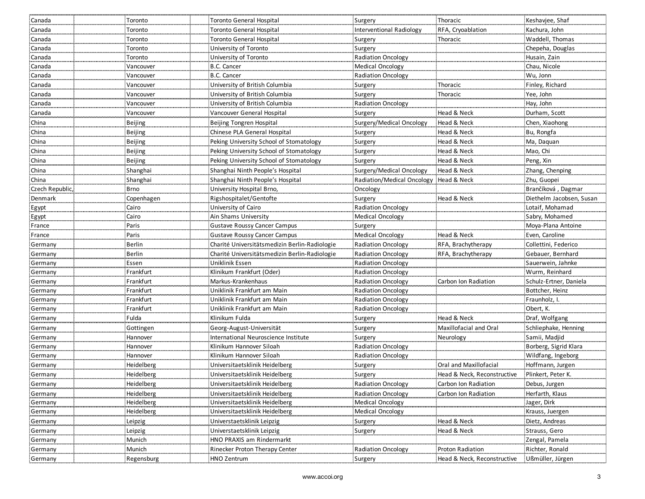| Surgery<br>Thoracic<br>Canada<br>Toronto<br>Toronto General Hospital                                                                              | Keshavjee, Shaf          |
|---------------------------------------------------------------------------------------------------------------------------------------------------|--------------------------|
| Kachura, John<br>Canada<br>Toronto General Hospital<br>Interventional Radiology<br>RFA, Cryoablation<br>Toronto                                   |                          |
| <b>Toronto General Hospital</b><br>Waddell, Thomas<br>Canada<br>Toronto<br>Surgery<br>Thoracic                                                    |                          |
| Surgery<br>Canada<br>Toronto<br>University of Toronto<br>Chepeha, Douglas                                                                         |                          |
| Radiation Oncology<br>Canada<br>University of Toronto<br>Husain, Zain<br>Toronto                                                                  |                          |
| B.C. Cancer<br>Medical Oncology<br>Chau, Nicole<br>Canada<br>Vancouver                                                                            |                          |
| Canada<br>B.C. Cancer<br><b>Radiation Oncology</b><br>Wu, Jonn<br>Vancouver                                                                       |                          |
| Canada<br>University of British Columbia<br>Thoracic<br>Finley, Richard<br>Vancouver<br>Surgery                                                   |                          |
| Canada<br>University of British Columbia<br>Surgery<br>Thoracic<br>Yee, John<br>Vancouver                                                         |                          |
| University of British Columbia<br><b>Radiation Oncology</b><br>Hay, John<br>Canada<br>Vancouver                                                   |                          |
| Head & Neck<br>Durham, Scott<br>Canada<br>Vancouver General Hospital<br>Vancouver<br>Surgery                                                      |                          |
| China<br>Beijing<br>Beijing Tongren Hospital<br>Surgery/Medical Oncology<br>Head & Neck<br>Chen, Xiaohong                                         |                          |
| Beijing<br>China<br>Chinese PLA General Hospital<br>Head & Neck<br>Bu, Rongfa<br>Surgery                                                          |                          |
| China<br>Beijing<br>Head & Neck<br>Ma, Daquan<br>Peking University School of Stomatology<br>Surgery                                               |                          |
| China<br>Beijing<br>Peking University School of Stomatology<br>Surgery<br>Head & Neck<br>Mao, Chi                                                 |                          |
| China<br>Beijing<br>Peking University School of Stomatology<br>Surgery<br>Head & Neck<br>Peng, Xin                                                |                          |
| China<br>Surgery/Medical Oncology<br>Shanghai<br>Shanghai Ninth People's Hospital<br>Head & Neck<br>Zhang, Chenping                               |                          |
| China<br>Shanghai<br>Shanghai Ninth People's Hospital<br>Radiation/Medical Oncology<br>Head & Neck<br>Zhu, Guopei                                 |                          |
| Brančíková, Dagmar<br>Czech Republic,<br><b>Brno</b><br>University Hospital Brno,<br>Oncology                                                     |                          |
| Denmark<br>Rigshospitalet/Gentofte<br>Head & Neck<br>Copenhagen<br>Surgery                                                                        | Diethelm Jacobsen, Susan |
| Radiation Oncology<br>University of Cairo<br>Lotaif, Mohamad<br>Cairo<br>Egypt                                                                    |                          |
| Ain Shams University<br><b>Medical Oncology</b><br>Sabry, Mohamed<br>Egypt<br>Cairo                                                               |                          |
| Paris<br><b>Gustave Roussy Cancer Campus</b><br>Moya-Plana Antoine<br>France<br>Surgery                                                           |                          |
| Paris<br>Medical Oncology<br>Head & Neck<br><b>Gustave Roussy Cancer Campus</b><br>Even, Caroline<br>France                                       |                          |
| Berlin<br>Charité Universitätsmedizin Berlin-Radiologie<br>Radiation Oncology<br>RFA, Brachytherapy<br>Collettini, Federico<br>Germany            |                          |
| <b>Berlin</b><br>Charité Universitätsmedizin Berlin-Radiologie<br><b>Radiation Oncology</b><br>Gebauer, Bernhard<br>RFA, Brachytherapy<br>Germany |                          |
| Essen<br>Uniklinik Essen<br>Radiation Oncology<br>Sauerwein, Jahnke<br>Germany                                                                    |                          |
| Frankfurt<br>Klinikum Frankfurt (Oder)<br><b>Radiation Oncology</b><br>Wurm, Reinhard<br>Germany                                                  |                          |
| Frankfurt<br>Markus-Krankenhaus<br>Radiation Oncology<br>Carbon Ion Radiation<br>Schulz-Ertner, Daniela<br>Germany                                |                          |
| Frankfurt<br>Uniklinik Frankfurt am Main<br>Radiation Oncology<br>Bottcher, Heinz<br>Germany                                                      |                          |
| Frankfurt<br>Uniklinik Frankfurt am Main<br><b>Radiation Oncology</b><br>Fraunholz, I.<br>Germany                                                 |                          |
| Frankfurt<br>Uniklinik Frankfurt am Main<br><b>Radiation Oncology</b><br>Obert, K.<br>Germany                                                     |                          |
| Fulda<br>Klinikum Fulda<br>Head & Neck<br>Draf, Wolfgang<br>Germany<br>Surgery                                                                    |                          |
| Schliephake, Henning<br>Maxillofacial and Oral<br>Germany<br>Gottingen<br>Georg-August-Universität<br>Surgery                                     |                          |
| Samii, Madjid<br>International Neuroscience Institute<br>Surgery<br>Germany<br>Hannover<br>Neurology                                              |                          |
| Klinikum Hannover Siloah<br>Radiation Oncology<br>Borberg, Sigrid Klara<br>Germany<br>Hannover                                                    |                          |
| Klinikum Hannover Siloah<br>Hannover<br><b>Radiation Oncology</b><br>Wildfang, Ingeborg<br>Germany                                                |                          |
| Heidelberg<br>Universitaetsklinik Heidelberg<br>Oral and Maxillofacial<br>Hoffmann, Jurgen<br>Germany<br>Surgery                                  |                          |
| Heidelberg<br>Universitaetsklinik Heidelberg<br>Head & Neck, Reconstructive<br>Plinkert, Peter K.<br>Germany<br>Surgery                           |                          |
| Heidelberg<br>Radiation Oncology<br>Carbon Ion Radiation<br>Debus, Jurgen<br>Universitaetsklinik Heidelberg<br>Germany                            |                          |
| Heidelberg<br>Universitaetsklinik Heidelberg<br><b>Radiation Oncology</b><br>Carbon Ion Radiation<br>Herfarth, Klaus<br>Germany                   |                          |
| Heidelberg<br>Universitaetsklinik Heidelberg<br><b>Medical Oncology</b><br>Jager, Dirk<br>Germany                                                 |                          |
| Heidelberg<br>Universitaetsklinik Heidelberg<br>Medical Oncology<br>Germany<br>Krauss, Juergen                                                    |                          |
| Head & Neck<br>Germany<br>Universtaetsklinik Leipzig<br>Dietz, Andreas<br>Leipzig<br>Surgery                                                      |                          |
| Universtaetsklinik Leipzig<br>Head & Neck<br>Strauss, Gero<br>Germany<br>Leipzig<br>Surgery                                                       |                          |
| HNO PRAXIS am Rindermarkt<br>Munich<br>Zengal, Pamela<br>Germany                                                                                  |                          |
| Munich<br>Rinecker Proton Therapy Center<br><b>Radiation Oncology</b><br>Richter, Ronald<br>Germany<br>Proton Radiation                           |                          |
| Regensburg<br>HNO Zentrum<br>Head & Neck, Reconstructive<br>Ußmüller, Jürgen<br>Germany<br>Surgery                                                |                          |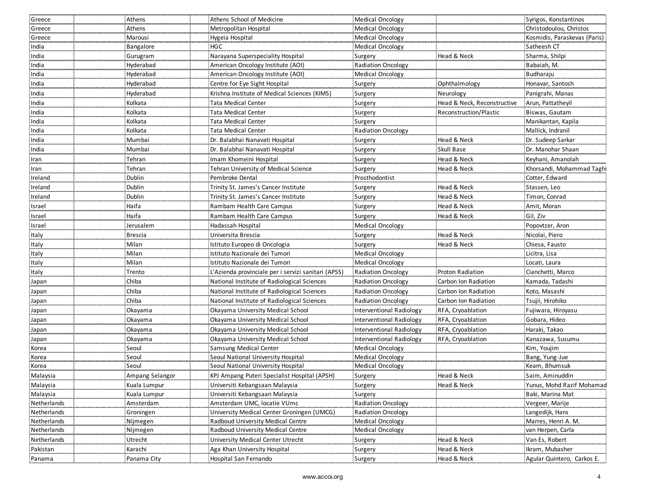| Greece       | Athens          | Athens School of Medicine                           | Medical Oncology          |                             | Syrigos, Konstantinos        |
|--------------|-----------------|-----------------------------------------------------|---------------------------|-----------------------------|------------------------------|
| Greece       | Athens          | Metropolitan Hospital                               | Medical Oncology          |                             | Christodoulou. Christos      |
| Greece       | Marousi         | Hygeia Hospital                                     | Medical Oncology          |                             | Kosmidis, Paraskevas (Paris) |
| India        | Bangalore       | <b>HGC</b>                                          | <b>Medical Oncology</b>   |                             | Satheesh CT                  |
| India        | Gurugram        | Narayana Superspeciality Hospital                   | Surgery                   | Head & Neck                 | Sharma, Shilpi               |
| India        | Hyderabad       | American Oncology Institute (AOI)                   | Radiation Oncology        |                             | Babaiah, M.                  |
| India        | Hyderabad       | American Oncology Institute (AOI)                   | Medical Oncology          |                             | Budharaju                    |
| India        | Hyderabad       | Centre for Eye Sight Hospital                       | Surgery                   | Ophthalmology               | Honavar, Santosh             |
| India        | Hyderabad       | Krishna Institute of Medical Sciences (KIMS)        | Surgery                   | Neurology                   | Panigrahi, Manas             |
| India        | Kolkata         | Tata Medical Center                                 | Surgery                   | Head & Neck, Reconstructive | Arun, Pattatheyil            |
| India        | Kolkata         | Tata Medical Center                                 | Surgery                   | Reconstruction/Plastic      | Biswas, Gautam               |
| India        | Kolkata         | Tata Medical Center                                 | Surgery                   |                             | Manikantan, Kapila           |
| India        | Kolkata         | Tata Medical Center                                 | <b>Radiation Oncology</b> |                             | Mallick, Indranil            |
| India        | Mumbai          | Dr. Balabhai Nanavati Hospital                      | Surgery                   | Head & Neck                 | Dr. Sudeep Sarkar            |
| India        | Mumbai          | Dr. Balabhai Nanavati Hospital                      | Surgery                   | Skull Base                  | Dr. Manohar Shaan            |
| Iran         | Tehran          | Imam Khomeini Hospital                              | Surgery                   | Head & Neck                 | Keyhani, Amanolah            |
| Iran         | Tehran          | <b>Tehran University of Medical Science</b>         | Surgery                   | Head & Neck                 | Khorsandi, Mohammad Taghi    |
| Ireland      | Dublin          | Pembroke Dental                                     | Prosthodontist            |                             | Cotter, Edward               |
| Ireland      | Dublin          | Trinity St. James's Cancer Institute                | Surgery                   | Head & Neck                 | Stassen, Leo                 |
| Ireland      | Dublin          | Trinity St. James's Cancer Institute                | Surgery                   | Head & Neck                 | Timon, Conrad                |
| Israel       | Haifa           | Rambam Health Care Campus                           | Surgery                   | Head & Neck                 | Amit, Moran                  |
| Israel       | Haifa           | Rambam Health Care Campus                           | Surgery                   | Head & Neck                 | Gil, Ziv                     |
| Israel       | Jerusalem       | Hadassah Hospital                                   | Medical Oncology          |                             | Popovtzer, Aron              |
| Italy        | Brescia         | Universita Brescia                                  | Surgery                   | Head & Neck                 | Nicolai, Piero               |
| Italy        | Milan           | Istituto Europeo di Oncologia                       | Surgery                   | Head & Neck                 | Chiesa, Fausto               |
| <b>Italy</b> | Milan           | Istituto Nazionale dei Tumori                       | <b>Medical Oncology</b>   |                             | Licitra, Lisa                |
| Italy        | Milan           | Istituto Nazionale dei Tumori                       | Medical Oncology          |                             | Locati, Laura                |
| Italy        | Trento          | L'Azienda provinciale per i servizi sanitari (APSS) | <b>Radiation Oncology</b> | Proton Radiation            | Cianchetti, Marco            |
| Japan        | Chiba           | National Institute of Radiological Sciences         | <b>Radiation Oncology</b> | Carbon Ion Radiation        | Kamada, Tadashi              |
| Japan        | Chiba           | National Institute of Radiological Sciences         | <b>Radiation Oncology</b> | Carbon Ion Radiation        | Koto, Masashi                |
| Japan        | Chiba           | National Institute of Radiological Sciences         | <b>Radiation Oncology</b> | Carbon Ion Radiation        | Tsujii, Hirohiko             |
| Japan        | Okayama         | Okayama University Medical School                   | Interventional Radiology  | RFA, Cryoablation           | Fujiwara, Hiroyasu           |
| Japan        | Okayama         | Okayama University Medical School                   | Interventional Radiology  | RFA, Cryoablation           | Gobara, Hideo                |
| Japan        | Okayama         | Okayama University Medical School                   | Interventional Radiology  | RFA, Cryoablation           | Haraki, Takao                |
| Japan        | Okayama         | Okayama University Medical School                   | Interventional Radiology  | RFA, Cryoablation           | Kanazawa, Susumu             |
| Korea        | Seoul           | Samsung Medical Center                              | <b>Medical Oncology</b>   |                             | Kim, Youjim                  |
| Korea        | Seoul           | Seoul National University Hospital                  | Medical Oncology          |                             | Bang, Yung-Jue               |
| Korea        | Seoul           | Seoul National University Hospital                  | Medical Oncology          |                             | Keam, Bhumsuk                |
| Malaysia     | Ampang Selangor | KPJ Ampang Puteri Specialist Hospital (APSH)        | Surgery                   | Head & Neck                 | Saim, Aminuddin              |
| Malaysia     | Kuala Lumpur    | Universiti Kebangsaan Malaysia                      | Surgery                   | Head & Neck                 | Yunus, Mohd Razif Mohamad    |
| Malaysia     | Kuala Lumpur    | Universiti Kebangsaan Malaysia                      | Surgery                   |                             | Baki, Marina Mat             |
| Netherlands  | Amsterdam       | Amsterdam UMC, locatie VUmc                         | <b>Radiation Oncology</b> |                             | Vergeer, Marije              |
| Netherlands  | Groningen       | University Medical Center Groningen (UMCG)          | <b>Radiation Oncology</b> |                             | Langedijk, Hans              |
| Netherlands  | Nijmegen        | Radboud University Medical Centre                   | <b>Medical Oncology</b>   |                             | Marres, Henri A. M.          |
| Netherlands  | Nijmegen        | Radboud University Medical Centre                   | Medical Oncology          |                             | van Herpen, Carla            |
| Netherlands  | Utrecht         | <b>University Medical Center Utrecht</b>            | Surgery                   | Head & Neck                 | Van Es, Robert               |
| Pakistan     | Karachi         | Aga Khan University Hospital                        | Surgery                   | Head & Neck                 | Ikram, Mubasher              |
| Panama       | Panama City     | Hospital San Fernando                               | Surgery                   | Head & Neck                 | Agular Quintero, Carkos E.   |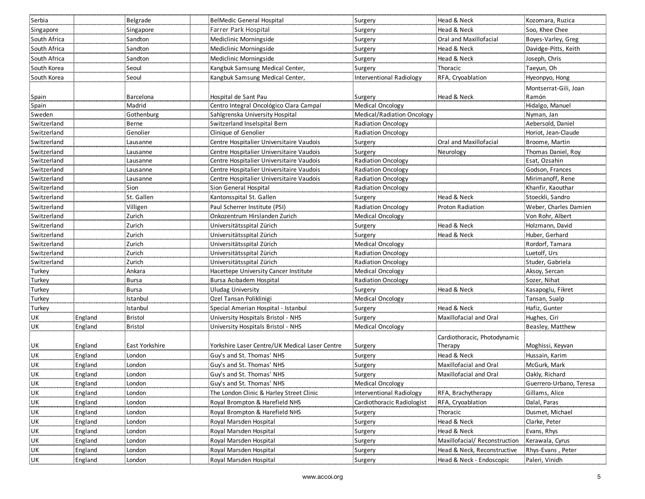| Serbia       |         | Belgrade       | BelMedic General Hospital                      | Surgery                    | Head & Neck                   | Kozomara, Ruzica        |
|--------------|---------|----------------|------------------------------------------------|----------------------------|-------------------------------|-------------------------|
| Singapore    |         | Singapore      | Farrer Park Hospital                           | Surgery                    | Head & Neck                   | Soo, Khee Chee          |
| South Africa |         | Sandton        | Mediclinic Morningside                         | Surgery                    | <b>Oral and Maxillofacial</b> | Boyes-Varley, Greg      |
| South Africa |         | Sandton        | Mediclinic Morningside                         | Surgery                    | Head & Neck                   | Davidge-Pitts, Keith    |
| South Africa |         | Sandton        | Mediclinic Morningside                         | Surgery                    | Head & Neck                   | Joseph, Chris           |
| South Korea  |         | Seoul          | Kangbuk Samsung Medical Center,                | Surgery                    | Thoracic                      | Taeyun, Oh              |
| South Korea  |         | Seoul          | Kangbuk Samsung Medical Center,                | Interventional Radiology   | RFA, Cryoablation             | Hyeonpyo, Hong          |
|              |         |                |                                                |                            |                               | Montserrat-Gili, Joan   |
| Spain        |         | Barcelona      | Hospital de Sant Pau                           | Surgery                    | Head & Neck                   | Ramón                   |
| Spain        |         | Madrid         | Centro Integral Oncológico Clara Campal        | <b>Medical Oncology</b>    |                               | Hidalgo, Manuel         |
| Sweden       |         | Gothenburg     | Sahlgrenska University Hospital                | Medical/Radiation Oncology |                               | Nyman, Jan              |
| Switzerland  |         | Berne          | Switzerland Inselspital Bern                   | Radiation Oncology         |                               | Aebersold, Daniel       |
| Switzerland  |         | Genolier       | Clinique of Genolier                           | <b>Radiation Oncology</b>  |                               | Horiot, Jean-Claude     |
| Switzerland  |         | Lausanne       | Centre Hospitalier Universitaire Vaudois       | Surgery                    | Oral and Maxillofacial        | Broome, Martin          |
| Switzerland  |         | Lausanne       | Centre Hospitalier Universitaire Vaudois       | Surgery                    | Neurology                     | Thomas Daniel, Roy      |
| Switzerland  |         | Lausanne       | Centre Hospitalier Universitaire Vaudois       | <b>Radiation Oncology</b>  |                               | Esat, Ozsahin           |
| Switzerland  |         | Lausanne       | Centre Hospitalier Universitaire Vaudois       | <b>Radiation Oncology</b>  |                               | Godson, Frances         |
| Switzerland  |         | Lausanne       | Centre Hospitalier Universitaire Vaudois       | <b>Radiation Oncology</b>  |                               | Mirimanoff, Rene        |
| Switzerland  |         | Sion           | Sion General Hospital                          | <b>Radiation Oncology</b>  |                               | Khanfir, Kaouthar       |
| Switzerland  |         | St. Gallen     | Kantonsspital St. Gallen                       | Surgery                    | Head & Neck                   | Stoeckli, Sandro        |
| Switzerland  |         | Villigen       | Paul Scherrer Institute (PSI)                  | <b>Radiation Oncology</b>  | Proton Radiation              | Weber, Charles Damien   |
| Switzerland  |         | Zurich         | Onkozentrum Hirslanden Zurich                  | Medical Oncology           |                               | Von Rohr, Albert        |
| Switzerland  |         | Zurich         | Universitätsspital Zürich                      | Surgery                    | Head & Neck                   | Holzmann, David         |
| Switzerland  |         | Zurich         | Universitätsspital Zürich                      | Surgery                    | Head & Neck                   | Huber, Gerhard          |
| Switzerland  |         | Zurich         | Universitätsspital Zürich                      | <b>Medical Oncology</b>    |                               | Rordorf, Tamara         |
| Switzerland  |         | Zurich         | Universitätsspital Zürich                      | Radiation Oncology         |                               | Luetolf, Urs            |
| Switzerland  |         | Zurich         | Universitätsspital Zürich                      | <b>Radiation Oncology</b>  |                               | Studer, Gabriela        |
| Turkey       |         | Ankara         | Hacettepe University Cancer Institute          | Medical Oncology           |                               | Aksoy, Sercan           |
| Turkey       |         | <b>Bursa</b>   | Bursa Acıbadem Hospital                        | Radiation Oncology         |                               | Sozer, Nihat            |
| Turkey       |         | Bursa          | Uludag University                              | Surgery                    | Head & Neck                   | Kasapoglu, Fikret       |
| Turkey       |         | Istanbul       | Ozel Tansan Poliklinigi                        | Medical Oncology           |                               | Tansan, Sualp           |
| Turkey       |         | Istanbul       | Special Amerian Hospital - Istanbul            | Surgery                    | Head & Neck                   | Hafiz, Gunter           |
| UK           | England | <b>Bristol</b> | University Hospitals Bristol - NHS             | Surgery                    | Maxillofacial and Oral        | Hughes, Ciri            |
| UK           | England | <b>Bristol</b> | University Hospitals Bristol - NHS             | Medical Oncology           |                               | Beasley, Matthew        |
|              |         |                |                                                |                            | Cardiothoracic, Photodynamic  |                         |
| UK           | England | East Yorkshire | Yorkshire Laser Centre/UK Medical Laser Centre | Surgery                    | Therapy                       | Moghissi, Keyvan        |
| <b>UK</b>    | England | London         | Guy's and St. Thomas' NHS                      | Surgery                    | Head & Neck                   | Hussain, Karim          |
| UK           | England | London         | Guy's and St. Thomas' NHS                      | Surgery                    | Maxillofacial and Oral        | McGurk, Mark            |
| <b>UK</b>    | England | London         | Guy's and St. Thomas' NHS                      | Surgery                    | Maxillofacial and Oral        | Oakly, Richard          |
| <b>UK</b>    | England | London         | Guy's and St. Thomas' NHS                      | Medical Oncology           |                               | Guerrero-Urbano, Teresa |
| UK           | England | London         | The London Clinic & Harley Street Clinic       | Interventional Radiology   | RFA, Brachytherapy            | Gillams, Alice          |
| UK           | England | London         | Royal Brompton & Harefield NHS                 | Cardiothoracic Radiologist | RFA, Cryoablation             | Dalal, Paras            |
| UK           | England | London         | Royal Brompton & Harefield NHS                 | Surgery                    | Thoracic                      | Dusmet, Michael         |
| UK           | England | London         | Royal Marsden Hospital                         | Surgery                    | Head & Neck                   | Clarke, Peter           |
| UK           | England | London         | Royal Marsden Hospital                         | Surgery                    | Head & Neck                   | Evans, Rhys             |
| UK           | England | London         | Royal Marsden Hospital                         | Surgery                    | Maxillofacial/ Reconstruction | Kerawala, Cyrus         |
| UK           | England | London         | Royal Marsden Hospital                         | Surgery                    | Head & Neck, Reconstructive   | Rhys-Evans, Peter       |
| <b>UK</b>    | England | London         | Royal Marsden Hospital                         | Surgery                    | Head & Neck - Endoscopic      | Paleri, Vinidh          |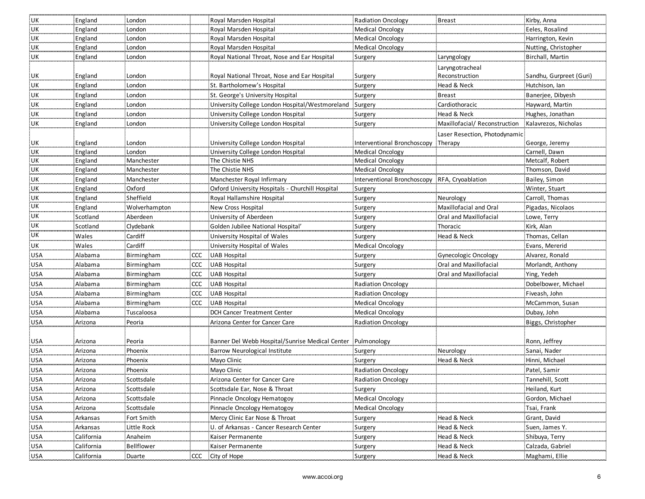| <b>UK</b>    | England    | London        |      | Royal Marsden Hospital                                      | <b>Radiation Oncology</b>   | Breast                        | Kirby, Anna             |
|--------------|------------|---------------|------|-------------------------------------------------------------|-----------------------------|-------------------------------|-------------------------|
| UK           | England    | London        |      | Royal Marsden Hospital                                      | <b>Medical Oncology</b>     |                               | Eeles, Rosalind         |
| . UK         | England    | London        |      | Royal Marsden Hospital                                      | Medical Oncology            |                               | Harrington, Kevin       |
| .UK          | England    | London        |      | Royal Marsden Hospital                                      | <b>Medical Oncology</b>     |                               | Nutting, Christopher    |
| UK           | England    | London        |      | Royal National Throat, Nose and Ear Hospital                | Surgery                     | Laryngology                   | Birchall, Martin        |
|              |            |               |      |                                                             |                             | Laryngotracheal               |                         |
| UK           | England    | London        |      | Royal National Throat, Nose and Ear Hospital                | Surgery                     | Reconstruction                | Sandhu, Gurpreet (Guri) |
| UK           | England    | London        |      | St. Bartholomew's Hospital                                  | Surgery                     | Head & Neck                   | Hutchison, Ian          |
| UK           | England    | London        |      | : St. George's University Hospital                          | Surgery                     | <b>Breast</b>                 | Banerjee, Dibyesh       |
| UK           | England    | London        |      | University College London Hospital/Westmoreland             | Surgery                     | Cardiothoracic                | Hayward, Martin         |
| UK           | England    | London        |      | University College London Hospital                          | Surgery                     | Head & Neck                   | Hughes, Jonathan        |
| UK           | England    | London        |      | University College London Hospital                          | Surgery                     | Maxillofacial/Reconstruction  | Kalavrezos, Nicholas    |
|              |            |               |      |                                                             |                             | Laser Resection, Photodynamic |                         |
| UK           | England    | London        |      | University College London Hospital                          | Interventional Bronchoscopy | Therapy                       | George, Jeremy          |
| UK           | England    | London        |      | University College London Hospital                          | Medical Oncology            |                               | Carnell, Dawn           |
| UK           | England    | Manchester    |      | The Chistie NHS                                             | <b>Medical Oncology</b>     |                               | Metcalf, Robert         |
| . UK         | England    | Manchester    |      | The Chistie NHS                                             | <b>Medical Oncology</b>     |                               | Thomson, David          |
| . UK         | England    | Manchester    |      | Manchester Royal Infirmary                                  | Interventional Bronchoscopy | RFA, Cryoablation             | Bailey, Simon           |
| UK           | England    | Oxford        |      | Oxford University Hospitals - Churchill Hospital            | Surgery                     |                               | Winter, Stuart          |
| UK           | England    | Sheffield     |      | Royal Hallamshire Hospital                                  | Surgery                     | Neurology                     | Carroll, Thomas         |
| UK<br>11.111 | England    | Wolverhampton |      | New Cross Hospital                                          | Surgery                     | Maxillofacial and Oral        | Pigadas, Nicolaos       |
| . UK         | Scotland   | Aberdeen      |      | University of Aberdeen                                      | Surgery                     | Oral and Maxillofacial        | Lowe, Terry             |
| .UK          | Scotland   | Clydebank     |      | Golden Jubilee National Hospital                            | Surgery                     | Thoracic                      | Kirk, Alan              |
| <b>UK</b>    | Wales      | Cardiff       |      | University Hospital of Wales                                | Surgery                     | Head & Neck                   | Thomas, Cellan          |
| UK           | Wales      | Cardiff       |      | University Hospital of Wales                                | Medical Oncology            |                               | Evans, Mererid          |
| USA          | Alabama    | Birmingham    | ccc  | UAB Hospital                                                | Surgery                     | <b>Gynecologic Oncology</b>   | Alvarez, Ronald         |
| <b>USA</b>   | Alabama    | Birmingham    | CCC. | <b>UAB Hospital</b>                                         | Surgery                     | Oral and Maxillofacial        | Morlandt, Anthony       |
| <b>USA</b>   | Alabama    | Birmingham    |      | CCC UAB Hospital                                            | Surgery                     | Oral and Maxillofacial        | Ying, Yedeh             |
| <b>USA</b>   | Alabama    | Birmingham    |      | CCC UAB Hospital                                            | <b>Radiation Oncology</b>   |                               | Dobelbower, Michael     |
| <b>USA</b>   | Alabama    | Birmingham    |      | CCC UAB Hospital                                            | <b>Radiation Oncology</b>   |                               | Fiveash, John           |
| <b>USA</b>   | Alabama    | Birmingham    |      | CCC UAB Hospital                                            | Medical Oncology            |                               | McCammon, Susan         |
| <b>USA</b>   | Alabama    | Tuscaloosa    |      | <b>DCH Cancer Treatment Center</b>                          | <b>Medical Oncology</b>     |                               | Dubay, John             |
| <b>USA</b>   | Arizona    | Peoria        |      | Arizona Center for Cancer Care                              | Radiation Oncology          |                               | Biggs, Christopher      |
|              |            |               |      |                                                             |                             |                               |                         |
| <b>USA</b>   | Arizona    | Peoria        |      | Banner Del Webb Hospital/Sunrise Medical Center Pulmonology |                             |                               | Ronn, Jeffrey           |
| <b>USA</b>   | Arizona    | Phoenix       |      | Barrow Neurological Institute                               | Surgery                     | Neurology                     | Sanai, Nader            |
| <b>USA</b>   | Arizona    | Phoenix       |      | Mayo Clinic                                                 | Surgery                     | Head & Neck                   | Hinni, Michael          |
| <b>USA</b>   | Arizona    | Phoenix       |      | Mayo Clinic                                                 | Radiation Oncology          |                               | Patel, Samir            |
| USA          | Arizona    | Scottsdale    |      | Arizona Center for Cancer Care                              | Radiation Oncology          |                               | Tannehill, Scott        |
| <b>USA</b>   | Arizona    | Scottsdale    |      | Scottsdale Ear, Nose & Throat                               | Surgery                     |                               | Heiland, Kurt           |
| USA          | Arizona    | Scottsdale    |      | Pinnacle Oncology Hematogoy                                 | Medical Oncology            |                               | Gordon, Michael         |
| <b>USA</b>   | Arizona    | Scottsdale    |      | Pinnacle Oncology Hematogoy                                 | <b>Medical Oncology</b>     |                               | Tsai, Frank             |
| <b>USA</b>   | Arkansas   | Fort Smith    |      | Mercy Clinic Ear Nose & Throat                              | Surgery                     | Head & Neck                   | Grant, David            |
| <b>USA</b>   | Arkansas   | Little Rock   |      | U. of Arkansas - Cancer Research Center                     | Surgery                     | Head & Neck                   | Suen, James Y.          |
| <b>USA</b>   | California | Anaheim       |      | Kaiser Permanente                                           | Surgery                     | Head & Neck                   | Shibuya, Terry          |
| <b>USA</b>   | California | Bellflower    |      | Kaiser Permanente                                           | Surgery                     | Head & Neck                   | Calzada, Gabriel        |
| <b>USA</b>   | California | <b>Duarte</b> |      | CCC City of Hope                                            | Surgery                     | Head & Neck                   | Maghami, Ellie          |
|              |            |               |      |                                                             |                             |                               |                         |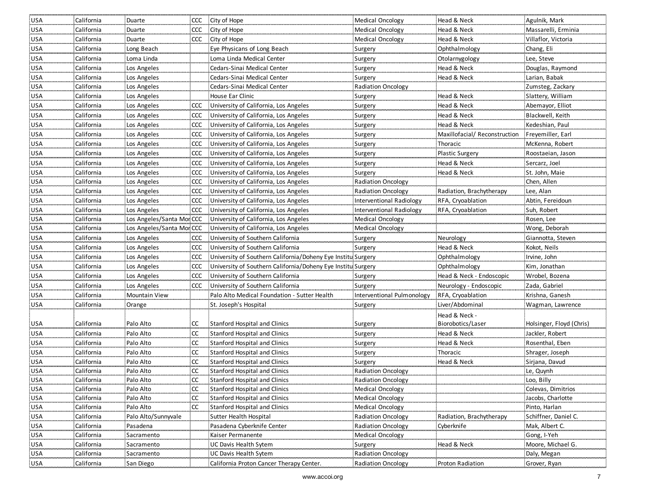| USA        | California | Duarte                    |               | CCC City of Hope                                                 | <b>Medical Oncology</b>    | Head & Neck                   | Agulnik, Mark            |
|------------|------------|---------------------------|---------------|------------------------------------------------------------------|----------------------------|-------------------------------|--------------------------|
| <b>USA</b> | California | Duarte                    |               | CCC City of Hope                                                 | <b>Medical Oncology</b>    | Head & Neck                   | Massarelli, Erminia      |
| <b>USA</b> | California | Duarte                    |               | CCC City of Hope                                                 | Medical Oncology           | Head & Neck                   | Villaflor, Victoria      |
| <b>USA</b> | California | Long Beach                |               | Eye Physicans of Long Beach                                      | Surgery                    | Ophthalmology                 | Chang, Eli               |
| <b>USA</b> | California | Loma Linda                |               | Loma Linda Medical Center                                        | Surgery                    | Otolarnygology                | Lee, Steve               |
| <b>USA</b> | California | Los Angeles               |               | Cedars-Sinai Medical Center                                      | Surgery                    | Head & Neck                   | Douglas, Raymond         |
| <b>USA</b> | California | Los Angeles               |               | Cedars-Sinai Medical Center                                      | Surgery                    | Head & Neck                   | Larian, Babak            |
| <b>USA</b> | California | Los Angeles               |               | Cedars-Sinai Medical Center                                      | <b>Radiation Oncology</b>  |                               | Zumsteg, Zackary         |
| USA        | California | Los Angeles               |               | House Ear Clinic                                                 | Surgery                    | Head & Neck                   | Slattery, William        |
| <b>USA</b> | California | Los Angeles               |               | CCC University of California, Los Angeles                        | Surgery                    | Head & Neck                   | Abemayor, Elliot         |
| <b>USA</b> | California | Los Angeles               |               | CCC University of California, Los Angeles                        | Surgery                    | Head & Neck                   | Blackwell, Keith         |
| <b>USA</b> | California | Los Angeles               |               | CCC University of California, Los Angeles                        | Surgery                    | Head & Neck                   | Kedeshian, Paul          |
| <b>USA</b> | California | Los Angeles               |               | CCC University of California, Los Angeles                        | Surgery                    | Maxillofacial/ Reconstruction | Freyemiller, Earl        |
| <b>USA</b> | California | Los Angeles               | CCC           | University of California, Los Angeles                            | Surgery                    | Thoracic                      | McKenna, Robert          |
| <b>USA</b> | California | Los Angeles               | <b>CCC</b>    | University of California, Los Angeles                            | Surgery                    | <b>Plastic Surgery</b>        | Roostaeian, Jason        |
| USA        | California | Los Angeles               | <b>CCC</b>    | University of California, Los Angeles                            | Surgery                    | Head & Neck                   | Sercarz, Joel            |
| USA        | California | Los Angeles               | ccc           | University of California, Los Angeles                            | Surgery                    | Head & Neck                   | St. John, Maie           |
| <b>USA</b> | California | Los Angeles               | CCC.          | University of California, Los Angeles                            | <b>Radiation Oncology</b>  |                               | Chen, Allen              |
| <b>USA</b> | California | Los Angeles               |               | CCC University of California, Los Angeles                        | <b>Radiation Oncology</b>  | Radiation, Brachytherapy      | Lee, Alan                |
| <b>USA</b> | California | Los Angeles               |               | CCC University of California, Los Angeles                        | Interventional Radiology   | RFA, Cryoablation             | Abtin, Fereidoun         |
| <b>USA</b> | California | Los Angeles               | <b>CCC</b>    | University of California, Los Angeles                            | Interventional Radiology   | RFA, Cryoablation             | Suh, Robert              |
| USA        | California | Los Angeles/Santa Moi CCC |               | University of California, Los Angeles                            | Medical Oncology           |                               | Rosen, Lee               |
| <b>USA</b> | California | Los Angeles/Santa Mor CCC |               | University of California, Los Angeles                            | <b>Medical Oncology</b>    |                               | Wong, Deborah            |
| USA        | California | Los Angeles               |               | CCC University of Southern California                            | Surgery                    | Neurology                     | Giannotta, Steven        |
| <b>USA</b> | California | Los Angeles               |               | CCC University of Southern California                            | Surgery                    | Head & Neck                   | Kokot, Neils             |
| <b>USA</b> | California | Los Angeles               |               | CCC University of Southern California/Doheny Eye Institu Surgery |                            | Ophthalmology                 | Irvine, John             |
| <b>USA</b> | California | Los Angeles               |               | CCC University of Southern California/Doheny Eye Institu Surgery |                            | Ophthalmology                 | Kim, Jonathan            |
| <b>USA</b> | California | Los Angeles               |               | CCC University of Southern California                            | Surgery                    | Head & Neck - Endoscopic      | Wrobel, Bozena           |
| <b>USA</b> | California | Los Angeles               | CCC           | University of Southern California                                | Surgery                    | Neurology - Endoscopic        | Zada, Gabriel            |
| <b>USA</b> | California | <b>Mountain View</b>      |               | Palo Alto Medical Foundation - Sutter Health                     | Interventional Pulmonology | RFA, Cryoablation             | Krishna, Ganesh          |
| <b>USA</b> | California | Orange                    |               | St. Joseph's Hospital                                            | Surgery                    | Liver/Abdominal               | Wagman, Lawrence         |
|            |            |                           |               |                                                                  |                            | Head & Neck -                 |                          |
| <b>USA</b> | California | Palo Alto                 | CC            | Stanford Hospital and Clinics                                    | Surgery                    | Biorobotics/Laser             | Holsinger, Floyd (Chris) |
| USA        | California | Palo Alto                 | CC            | Stanford Hospital and Clinics                                    | Surgery                    | Head & Neck                   | Jackler, Robert          |
| <b>USA</b> | California | Palo Alto                 | CC            | <b>Stanford Hospital and Clinics</b>                             | Surgery                    | Head & Neck                   | Rosenthal, Eben          |
| <b>USA</b> | California | Palo Alto                 | CC            | Stanford Hospital and Clinics                                    | Surgery                    | Thoracic                      | Shrager, Joseph          |
| <b>USA</b> | California | Palo Alto                 | CC            | Stanford Hospital and Clinics                                    | Surgery                    | Head & Neck                   | Sirjana, Davud           |
| <b>USA</b> | California | Palo Alto                 | CC            | Stanford Hospital and Clinics                                    | Radiation Oncology         |                               | Le, Quynh                |
| USA        | California | Palo Alto                 | cc            | <b>Stanford Hospital and Clinics</b>                             | Radiation Oncology         |                               | Loo, Billy               |
| <b>USA</b> | California | Palo Alto                 | CC.           | <b>Stanford Hospital and Clinics</b>                             | Medical Oncology           |                               | Colevas, Dimitrios       |
| USA        | California | Palo Alto                 | <sub>cc</sub> | Stanford Hospital and Clinics                                    | Medical Oncology           |                               | Jacobs, Charlotte        |
| <b>USA</b> | California | Palo Alto                 | <b>CC</b>     | Stanford Hospital and Clinics                                    | <b>Medical Oncology</b>    |                               | Pinto, Harlan            |
| USA        | California | Palo Alto/Sunnyvale       |               | Sutter Health Hospital                                           | <b>Radiation Oncology</b>  | Radiation, Brachytherapy      | Schiffner, Daniel C.     |
| <b>USA</b> | California | Pasadena                  |               | Pasadena Cyberknife Center                                       | <b>Radiation Oncology</b>  | Cyberknife                    | Mak, Albert C.           |
| <b>USA</b> | California | Sacramento                |               | Kaiser Permanente                                                | Medical Oncology           |                               | Gong, I-Yeh              |
| <b>USA</b> | California | Sacramento                |               | UC Davis Health Sytem                                            | Surgery                    | Head & Neck                   | Moore, Michael G.        |
| USA        | California | Sacramento                |               | UC Davis Health Sytem                                            | Radiation Oncology         |                               | Daly, Megan              |
| <b>USA</b> | California | San Diego                 |               | California Proton Cancer Therapy Center.                         | Radiation Oncology         | Proton Radiation              | Grover, Ryan             |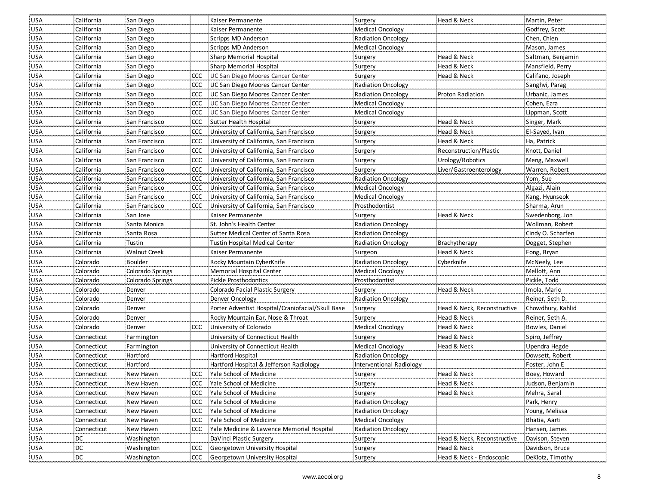| <b>USA</b> | California  | San Diego           |            | Kaiser Permanente                                 | Surgery                   | Head & Neck                 | Martin, Peter     |
|------------|-------------|---------------------|------------|---------------------------------------------------|---------------------------|-----------------------------|-------------------|
| <b>USA</b> | California  | San Diego           |            | Kaiser Permanente                                 | <b>Medical Oncology</b>   |                             | Godfrey, Scott    |
| <b>USA</b> | California  | San Diego           |            | Scripps MD Anderson                               | Radiation Oncology        |                             | Chen, Chien       |
| <b>USA</b> | California  | San Diego           |            | Scripps MD Anderson                               | <b>Medical Oncology</b>   |                             | Mason, James      |
| <b>USA</b> | California  | San Diego           |            | Sharp Memorial Hospital                           | Surgery                   | Head & Neck                 | Saltman, Benjamin |
| <b>USA</b> | California  | San Diego           |            | Sharp Memorial Hospital                           | Surgery                   | Head & Neck                 | Mansfield, Perry  |
| <b>USA</b> | California  | San Diego           |            | CCC UC San Diego Moores Cancer Center             | Surgery                   | Head & Neck                 | Califano, Joseph  |
| USA        | California  | San Diego           | <b>CCC</b> | UC San Diego Moores Cancer Center                 | <b>Radiation Oncology</b> |                             | Sanghvi, Parag    |
| USA        | California  | San Diego           | <b>CCC</b> | UC San Diego Moores Cancer Center                 | <b>Radiation Oncology</b> | <b>Proton Radiation</b>     | Urbanic, James    |
| <b>USA</b> | California  | San Diego           | CCC        | UC San Diego Moores Cancer Center                 | <b>Medical Oncology</b>   |                             | Cohen, Ezra       |
| <b>USA</b> | California  | San Diego           | <b>CCC</b> | UC San Diego Moores Cancer Center                 | Medical Oncology          |                             | Lippman, Scott    |
| <b>USA</b> | California  | San Francisco       | <b>CCC</b> | Sutter Health Hospital                            | Surgery                   | Head & Neck                 | Singer, Mark      |
| <b>USA</b> | California  | San Francisco       | <b>CCC</b> | University of California, San Francisco           | Surgery                   | Head & Neck                 | El-Sayed, Ivan    |
| <b>USA</b> | California  | San Francisco       | <b>CCC</b> | University of California, San Francisco           | Surgery                   | Head & Neck                 | Ha, Patrick       |
| <b>USA</b> | California  | San Francisco       | <b>CCC</b> | University of California, San Francisco           | Surgery                   | Reconstruction/Plastic      | Knott, Daniel     |
| <b>USA</b> | California  | San Francisco       | <b>CCC</b> | University of California, San Francisco           | Surgery                   | Urology/Robotics            | Meng, Maxwell     |
| <b>USA</b> | California  | San Francisco       | <b>CCC</b> | University of California, San Francisco           | Surgery                   | Liver/Gastroenterology      | Warren, Robert    |
| <b>USA</b> | California  | San Francisco       |            | CCC University of California, San Francisco       | <b>Radiation Oncology</b> |                             | Yom, Sue          |
| <b>USA</b> | California  | San Francisco       |            | CCC University of California, San Francisco       | <b>Medical Oncology</b>   |                             | Algazi, Alain     |
| USA        | California  | San Francisco       | <b>CCC</b> | University of California, San Francisco           | <b>Medical Oncology</b>   |                             | Kang, Hyunseok    |
| <b>USA</b> | California  | San Francisco       |            | CCC University of California, San Francisco       | Prosthodontist            |                             | Sharma, Arun      |
| <b>USA</b> | California  | San Jose            |            | Kaiser Permanente                                 | Surgery                   | Head & Neck                 | Swedenborg, Jon   |
| <b>USA</b> | California  | Santa Monica        |            | St. John's Health Center                          | Radiation Oncology        |                             | Wollman, Robert   |
| <b>USA</b> | California  | Santa Rosa          |            | Sutter Medical Center of Santa Rosa               | <b>Radiation Oncology</b> |                             | Cindy O. Scharfen |
| <b>USA</b> | California  | Tustin              |            | Tustin Hospital Medical Center                    | <b>Radiation Oncology</b> | Brachytherapy               | Dogget, Stephen   |
| <b>USA</b> | California  | <b>Walnut Creek</b> |            | Kaiser Permanente                                 | Surgeon                   | Head & Neck                 | Fong, Bryan       |
| <b>USA</b> | Colorado    | Boulder             |            | Rocky Mountain CyberKnife                         | <b>Radiation Oncology</b> | Cyberknife                  | McNeely, Lee      |
| <b>USA</b> | Colorado    | Colorado Springs    |            | Memorial Hospital Center                          | <b>Medical Oncology</b>   |                             | Mellott, Ann      |
| <b>USA</b> | Colorado    | Colorado Springs    |            | Pickle Prosthodontics                             | Prosthodontist            |                             | Pickle, Todd      |
| USA        | Colorado    | Denver              |            | Colorado Facial Plastic Surgery                   | Surgery                   | Head & Neck                 | Imola, Mario      |
| <b>USA</b> | Colorado    | Denver              |            | Denver Oncology                                   | Radiation Oncology        |                             | Reiner, Seth D.   |
| <b>USA</b> | Colorado    | Denver              |            | Porter Adventist Hospital/Craniofacial/Skull Base | Surgery                   | Head & Neck, Reconstructive | Chowdhury, Kahlid |
| USA        | Colorado    | Denver              |            | Rocky Mountain Ear, Nose & Throat                 | Surgery                   | Head & Neck                 | Reiner, Seth A.   |
| <b>USA</b> | Colorado    | Denver              | ccc        | University of Colorado                            | Medical Oncology          | Head & Neck                 | Bowles, Daniel    |
| <b>USA</b> | Connecticut | Farmington          |            | University of Connecticut Health                  | Surgery                   | Head & Neck                 | Spiro, Jeffrey    |
| USA        | Connecticut | Farmington          |            | University of Connecticut Health                  | Medical Oncology          | Head & Neck                 | Upendra Hegde     |
| <b>USA</b> | Connecticut | Hartford            |            | Hartford Hospital                                 | <b>Radiation Oncology</b> |                             | Dowsett, Robert   |
| <b>USA</b> | Connecticut | Hartford            |            | Hartford Hospital & Jefferson Radiology           | Interventional Radiology  |                             | Foster, John E    |
| <b>USA</b> | Connecticut | New Haven           |            | CCC Yale School of Medicine                       | Surgery                   | Head & Neck                 | Boey, Howard      |
| USA        | Connecticut | New Haven           |            | CCC Yale School of Medicine                       | Surgery                   | Head & Neck                 | Judson, Benjamin  |
| <b>USA</b> | Connecticut | New Haven           | <b>CCC</b> | Yale School of Medicine                           | Surgery                   | Head & Neck                 | Mehra, Saral      |
| <b>USA</b> | Connecticut | New Haven           | <b>CCC</b> | Yale School of Medicine                           | <b>Radiation Oncology</b> |                             | Park, Henry       |
| <b>USA</b> | Connecticut | New Haven           | ccc        | Yale School of Medicine                           | Radiation Oncology        |                             | Young, Melissa    |
| USA        | Connecticut | New Haven           | <b>CCC</b> | Yale School of Medicine                           | Medical Oncology          |                             | Bhatia, Aarti     |
| USA        | Connecticut | New Haven           | <b>CCC</b> | Yale Medicine & Lawence Memorial Hospital         | <b>Radiation Oncology</b> |                             | Hansen, James     |
| <b>USA</b> | DC          | Washington          |            | DaVinci Plastic Surgery                           | Surgery                   | Head & Neck, Reconstructive | Davison, Steven   |
| <b>USA</b> | DC          | Washington          | <b>CCC</b> | <b>Georgetown University Hospital</b>             | Surgery                   | Head & Neck                 | Davidson, Bruce   |
| <b>USA</b> | DC          | Washington          |            | CCC Georgetown University Hospital                | Surgery                   | Head & Neck - Endoscopic    | DeKlotz, Timothy  |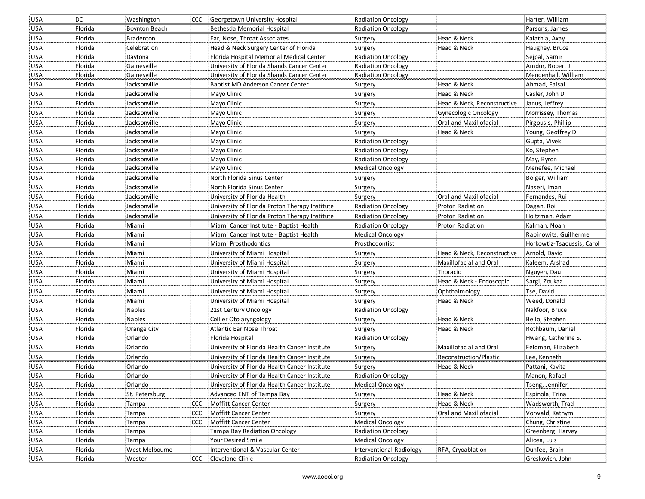| <b>USA</b>        | <b>DC</b> | Washington           |            | CCC Georgetown University Hospital             | Radiation Oncology                 |                             | Harter, William                  |
|-------------------|-----------|----------------------|------------|------------------------------------------------|------------------------------------|-----------------------------|----------------------------------|
| USA               | Florida   | <b>Boynton Beach</b> |            | Bethesda Memorial Hospital                     | Radiation Oncology                 |                             | Parsons, James                   |
| <b>USA</b>        | Florida   | <b>Bradenton</b>     |            | Ear, Nose, Throat Associates                   | Surgery                            | Head & Neck                 | Kalathia, Axay                   |
| <b>USA</b>        | Florida   | Celebration          |            | Head & Neck Surgery Center of Florida          | Surgery                            | Head & Neck                 | Haughey, Bruce                   |
| <b>USA</b>        | Florida   | Daytona              |            | Florida Hospital Memorial Medical Center       | <b>Radiation Oncology</b>          |                             | Sejpal, Samir                    |
| <b>USA</b>        | Florida   | Gainesville          |            | University of Florida Shands Cancer Center     | Radiation Oncology                 |                             | Amdur, Robert J.                 |
| <b>USA</b>        | Florida   | Gainesville          |            | University of Florida Shands Cancer Center     | <b>Radiation Oncology</b>          |                             | Mendenhall, William              |
| <b>USA</b>        | Florida   | Jacksonville         |            | Baptist MD Anderson Cancer Center              | Surgery                            | Head & Neck                 | Ahmad, Faisal                    |
| USA               | Florida   | Jacksonville         |            | Mayo Clinic                                    | Surgery                            | Head & Neck                 | Casler, John D.                  |
| USA               | Florida   | Jacksonville         |            | Mayo Clinic                                    | Surgery                            | Head & Neck, Reconstructive | Janus, Jeffrey                   |
| <b>USA</b>        | Florida   | Jacksonville         |            | Mayo Clinic                                    | Surgery                            | Gynecologic Oncology        | Morrissey, Thomas                |
| <b>USA</b>        | Florida   | Jacksonville         |            | Mayo Clinic                                    | Surgery                            | Oral and Maxillofacial      | Pirgousis, Phillip               |
| <b>USA</b>        | Florida   | Jacksonville         |            | Mayo Clinic                                    | Surgery                            | Head & Neck                 | Young, Geoffrey D                |
| USA               | Florida   | Jacksonville         |            | Mayo Clinic                                    | Radiation Oncology                 |                             | Gupta, Vivek                     |
| <b>USA</b>        | Florida   | Jacksonville         |            | Mayo Clinic                                    | <b>Radiation Oncology</b>          |                             | Ko, Stephen                      |
| <b>USA</b>        | Florida   | Jacksonville         |            | Mayo Clinic                                    | <b>Radiation Oncology</b>          |                             | May, Byron                       |
| <b>USA</b>        | Florida   | Jacksonville         |            | Mayo Clinic                                    | <b>Medical Oncology</b>            |                             | Menefee, Michael                 |
| <b>USA</b>        | Florida   | Jacksonville         |            | North Florida Sinus Center                     | Surgery                            |                             | Bolger, William                  |
| USA               | Florida   | Jacksonville         |            | North Florida Sinus Center                     | Surgery                            |                             | Naseri, Iman                     |
| USA               | Florida   | Jacksonville         |            | University of Florida Health                   | Surgery                            | Oral and Maxillofacial      | Fernandes, Rui                   |
| USA               | Florida   | Jacksonville         |            | University of Florida Proton Therapy Institute | <b>Radiation Oncology</b>          | Proton Radiation            | Dagan, Roi                       |
| <b>USA</b>        | Florida   | Jacksonville         |            | University of Florida Proton Therapy Institute | <b>Radiation Oncology</b>          | Proton Radiation            | Holtzman, Adam                   |
| USA               | Florida   | Miami                |            | Miami Cancer Institute - Baptist Health        | <b>Radiation Oncology</b>          | <b>Proton Radiation</b>     | Kalman, Noah                     |
| <b>USA</b>        | Florida   | Miami                |            | Miami Cancer Institute - Baptist Health        | <b>Medical Oncology</b>            |                             | Rabinowits, Guilherme            |
|                   |           |                      |            |                                                |                                    |                             |                                  |
| <b>USA</b>        | Florida   | Miami                |            | Miami Prosthodontics                           | Prosthodontist                     |                             | Horkowtiz-Tsaoussis, Carol       |
| <b>USA</b>        | Florida   | Miami                |            | University of Miami Hospital                   | Surgery                            | Head & Neck, Reconstructive | Arnold, David                    |
| <b>USA</b>        | Florida   | Miami                |            | University of Miami Hospital                   | Surgery                            | Maxillofacial and Oral      | Kaleem, Arshad                   |
| <b>USA</b>        | Florida   | Miami                |            | University of Miami Hospital                   | Surgery                            | Thoracic                    | Nguyen, Dau                      |
| <b>USA</b>        | Florida   | Miami                |            | University of Miami Hospital                   | Surgery                            | Head & Neck - Endoscopic    | Sargi, Zoukaa                    |
| <b>USA</b>        | Florida   | Miami                |            | University of Miami Hospital                   | Surgery                            | Ophthalmology               | Tse, David                       |
| <b>USA</b>        | Florida   | Miami                |            | University of Miami Hospital                   | Surgery                            | Head & Neck                 | Weed, Donald                     |
| <b>USA</b>        | Florida   | <b>Naples</b>        |            | 21st Century Oncology                          | <b>Radiation Oncology</b>          |                             | Nakfoor, Bruce                   |
| USA               | Florida   | <b>Naples</b>        |            | Collier Otolaryngology                         |                                    | Head & Neck                 | Bello, Stephen                   |
| USA               | Florida   | Orange City          |            | Atlantic Ear Nose Throat                       | Surgery<br>Surgery                 | Head & Neck                 | Rothbaum, Daniel                 |
| <b>USA</b>        | Florida   | Orlando              |            | Florida Hospital                               | <b>Radiation Oncology</b>          |                             | Hwang, Catherine S.              |
| <b>USA</b>        | Florida   | Orlando              |            | University of Florida Health Cancer Institute  |                                    | Maxillofacial and Oral      | Feldman, Elizabeth               |
| <b>USA</b>        | Florida   |                      |            | University of Florida Health Cancer Institute  | Surgery                            | Reconstruction/Plastic      | Lee, Kenneth                     |
| <b>USA</b>        | Florida   | Orlando<br>Orlando   |            | University of Florida Health Cancer Institute  | Surgery<br>Surgery                 | Head & Neck                 |                                  |
| <b>USA</b>        | Florida   | Orlando              |            | University of Florida Health Cancer Institute  | <b>Radiation Oncology</b>          |                             | Pattani, Kavita<br>Manon, Rafael |
| <b>USA</b>        | Florida   | Orlando              |            | University of Florida Health Cancer Institute  | <b>Medical Oncology</b>            |                             | Tseng, Jennifer                  |
| <b>USA</b>        | Florida   | St. Petersburg       |            | Advanced ENT of Tampa Bay                      | Surgery                            | Head & Neck                 | Espinola, Trina                  |
| <b>USA</b>        | Florida   | Tampa                |            | CCC Moffitt Cancer Center                      | Surgery                            | Head & Neck                 | Wadsworth, Trad                  |
|                   | Florida   | Tampa                | <b>CCC</b> | Moffitt Cancer Center                          |                                    | Oral and Maxillofacial      | Vorwald, Kathyrn                 |
| USA<br><b>USA</b> | Florida   | Tampa                | <b>CCC</b> | Moffitt Cancer Center                          | Surgery<br><b>Medical Oncology</b> |                             | Chung, Christine                 |
| <b>USA</b>        | Florida   | Tampa                |            | Tampa Bay Radiation Oncology                   | Radiation Oncology                 |                             | Greenberg, Harvey                |
| <b>USA</b>        | Florida   | Tampa                |            | Your Desired Smile                             | <b>Medical Oncology</b>            |                             | Alicea, Luis                     |
| <b>USA</b>        | Florida   | West Melbourne       |            | Interventional & Vascular Center               | Interventional Radiology           | RFA, Cryoablation           | Dunfee, Brain                    |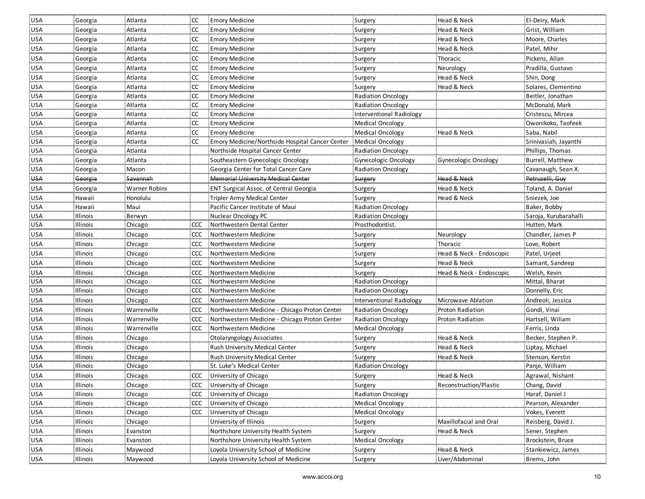| USA        | Georgia  | Atlanta       | <b>CC</b>     | <b>Emory Medicine</b>                           | Surgery                   | Head & Neck              | El-Deiry, Mark        |
|------------|----------|---------------|---------------|-------------------------------------------------|---------------------------|--------------------------|-----------------------|
| <b>USA</b> | Georgia  | Atlanta       | <sub>CC</sub> | <b>Emory Medicine</b>                           | Surgery                   | Head & Neck              | Grist, William        |
| <b>USA</b> | Georgia  | Atlanta       | CC            | <b>Emory Medicine</b>                           | Surgery                   | Head & Neck              | Moore, Charles        |
| <b>USA</b> | Georgia  | Atlanta       | <b>CC</b>     | <b>Emory Medicine</b>                           | Surgery                   | Head & Neck              | Patel, Mihir          |
| <b>USA</b> | Georgia  | Atlanta       | <b>CC</b>     | <b>Emory Medicine</b>                           | Surgery                   | Thoracic                 | Pickens, Allan        |
| <b>USA</b> | Georgia  | Atlanta       | <b>CC</b>     | <b>Emory Medicine</b>                           | Surgery                   | Neurology                | Pradilla, Gustavo     |
| <b>USA</b> | Georgia  | Atlanta       | <b>CC</b>     | <b>Emory Medicine</b>                           | Surgery                   | Head & Neck              | Shin, Dong            |
| <b>USA</b> | Georgia  | Atlanta       | <b>CC</b>     | <b>Emory Medicine</b>                           | Surgery                   | Head & Neck              | Solares, Clementino   |
| <b>USA</b> | Georgia  | Atlanta       | <b>CC</b>     | <b>Emory Medicine</b>                           | <b>Radiation Oncology</b> |                          | Beitler, Jonathan     |
| <b>USA</b> | Georgia  | Atlanta       | <b>CC</b>     | <b>Emory Medicine</b>                           | <b>Radiation Oncology</b> |                          | McDonald, Mark        |
| <b>USA</b> | Georgia  | Atlanta       | <b>CC</b>     | <b>Emory Medicine</b>                           | Interventional Radiology  |                          | Cristescu, Mircea     |
| <b>USA</b> | Georgia  | Atlanta       | <b>CC</b>     | <b>Emory Medicine</b>                           | Medical Oncology          |                          | Owonikoko, Taofeek    |
| <b>USA</b> | Georgia  | Atlanta       | <sub>CC</sub> | <b>Emory Medicine</b>                           | <b>Medical Oncology</b>   | Head & Neck              | Saba, Nabil           |
| <b>USA</b> | Georgia  | Atlanta       | <b>CC</b>     | Emory Medicine/Northside Hospital Cancer Center | Medical Oncology          |                          | Srinivasiah, Jayanthi |
| <b>USA</b> | Georgia  | Atlanta       |               | Northside Hospital Cancer Center                | <b>Radiation Oncology</b> |                          | Phillips, Thomas      |
| <b>USA</b> | Georgia  | Atlanta       |               | Southeastern Gynecologic Oncology               | Gynecologic Oncology      | Gynecologic Oncology     | Burrell, Matthew      |
| <b>USA</b> | Georgia  | Macon         |               | Georgia Center for Total Cancer Care            | <b>Radiation Oncology</b> |                          | Cavanaugh, Sean X.    |
| <b>USA</b> | Georgia  | Savannah      |               | Memorial University Medical Center              | Surgery                   | <b>Head &amp; Neck</b>   | Petruzelli, Guy       |
| <b>USA</b> | Georgia  | Warner Robins |               | <b>ENT Surgical Assoc. of Central Georgia</b>   | Surgery                   | Head & Neck              | Toland, A. Daniel     |
| <b>USA</b> | Hawaii   | Honolulu      |               | Tripler Army Medical Center                     | Surgery                   | Head & Neck              | Sniezek, Joe          |
| <b>USA</b> | Hawaii   | Maui          |               | Pacific Cancer Institute of Maui                | <b>Radiation Oncology</b> |                          | Baker, Bobby          |
| <b>USA</b> | Illinois | Berwyn        |               | Nuclear Oncology PC                             | Radiation Oncology        |                          | Saroja, Kurubarahalli |
| USA        | Illinois | Chicago       | CCC           | Northwestern Dental Center                      | Prosthodontist.           |                          | Hutten, Mark          |
| <b>USA</b> | Illinois | Chicago       | CCC           | Northwestern Medicine                           | Surgery                   | Neurology                | Chandler, James P     |
| <b>USA</b> | Illinois | Chicago       | <b>CCC</b>    | Northwestern Medicine                           | Surgery                   | Thoracic                 | Love, Robert          |
| <b>USA</b> | Illinois | Chicago       | CCC           | Northwestern Medicine                           | Surgery                   | Head & Neck - Endoscopic | Patel, Urjeet         |
| <b>USA</b> | Illinois | Chicago       | CCC           | Northwestern Medicine                           | Surgery                   | Head & Neck              | Samant, Sandeep       |
| <b>USA</b> | Illinois | Chicago       | CCC           | Northwestern Medicine                           | Surgery                   | Head & Neck - Endoscopic | Welsh, Kevin          |
| <b>USA</b> | Illinois | Chicago       | <b>CCC</b>    | Northwestern Medicine                           | <b>Radiation Oncology</b> |                          | Mittal, Bharat        |
| <b>USA</b> | Illinois | Chicago       | <b>CCC</b>    | Northwestern Medicine                           | <b>Radiation Oncology</b> |                          | Donnelly, Eric        |
| <b>USA</b> | Illinois | Chicago       | <b>CCC</b>    | Northwestern Medicine                           | Interventional Radiology  | Microwave Ablation       | Andreoli, Jessica     |
| <b>USA</b> | Illinois | Warrenville   | <b>CCC</b>    | Northwestern Medicine - Chicago Proton Center   | <b>Radiation Oncology</b> | Proton Radiation         | Gondi, Vinai          |
| <b>USA</b> | Illinois | Warrenville   | <b>CCC</b>    | Northwestern Medicine - Chicago Proton Center   | <b>Radiation Oncology</b> | Proton Radiation         | Hartsell, Wiliam      |
| USA        | Illinois | Warrenville   | CCC           | Northwestern Medicine                           | <b>Medical Oncology</b>   |                          | Ferris, Linda         |
| <b>USA</b> | Illinois | Chicago       |               | Otolaryngology Associates                       | Surgery                   | Head & Neck              | Becker, Stephen P.    |
| <b>USA</b> | Illinois | Chicago       |               | Rush University Medical Center                  | Surgery                   | Head & Neck              | Liptay, Michael       |
| <b>USA</b> | Illinois | Chicago       |               | Rush University Medical Center                  | Surgery                   | Head & Neck              | Stenson, Kerstin      |
| USA        | Illinois | Chicago       |               | St. Luke's Medical Center                       | Radiation Oncology        |                          | Panje, William        |
| <b>USA</b> | Illinois | Chicago       |               | CCC University of Chicago                       | Surgery                   | Head & Neck              | Agrawal, Nishant      |
| USA        | Illinois | Chicago       |               | CCC University of Chicago                       | Surgery                   | Reconstruction/Plastic   | Chang, David          |
| USA        | Illinois | Chicago       |               | CCC University of Chicago                       | <b>Radiation Oncology</b> |                          | Haraf, Daniel J       |
| USA        | Illinois | Chicago       | <b>CCC</b>    | University of Chicago                           | Medical Oncology          |                          | Pearson, Alexander    |
| <b>USA</b> | Illinois | Chicago       | <b>CCC</b>    | University of Chicago                           | <b>Medical Oncology</b>   |                          | Vokes, Everett        |
| USA        | Illinois | Chicago       |               | University of Illinois                          | Surgery                   | Maxillofacial and Oral   | Reisberg, David J.    |
| <b>USA</b> | Illinois | Evanston      |               | Northshore University Health System             | Surgery                   | Head & Neck              | Sener, Stephen        |
| <b>USA</b> | Illinois | Evanston      |               | Northshore University Health System             | <b>Medical Oncology</b>   |                          | Brockstein, Bruce     |
| <b>USA</b> | Illinois | Maywood       |               | Loyola University School of Medicine            | Surgery                   | Head & Neck              | Stankiewicz, James    |
| USA        | Illinois | Maywood       |               | Loyola University School of Medicine            | Surgery                   | Liver/Abdominal          | Brems, John           |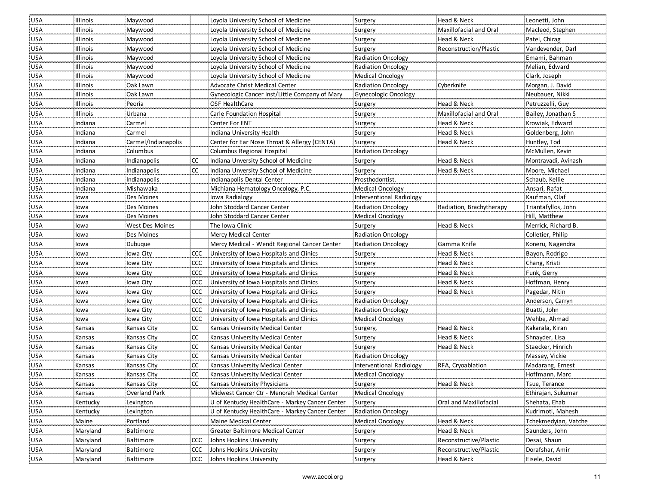| USA        | Illinois | Maywood              |            | Loyola University School of Medicine            | Surgery                   | Head & Neck              | Leonetti, John       |
|------------|----------|----------------------|------------|-------------------------------------------------|---------------------------|--------------------------|----------------------|
| <b>USA</b> | Illinois | Maywood              |            | Loyola University School of Medicine            | Surgery                   | Maxillofacial and Oral   | Macleod, Stephen     |
| <b>USA</b> | Illinois | Maywood              |            | Loyola University School of Medicine            | Surgery                   | Head & Neck              | Patel, Chirag        |
| <b>USA</b> | Illinois | Maywood              |            | Loyola University School of Medicine            | Surgery                   | Reconstruction/Plastic   | Vandevender, Darl    |
| <b>USA</b> | Illinois | Maywood              |            | Loyola University School of Medicine            | Radiation Oncology        |                          | Emami, Bahman        |
| <b>USA</b> | Illinois | Maywood              |            | Loyola University School of Medicine            | <b>Radiation Oncology</b> |                          | Melian, Edward       |
| <b>USA</b> | Illinois | Maywood              |            | Loyola University School of Medicine            | Medical Oncology          |                          | Clark, Joseph        |
| <b>USA</b> | Illinois | Oak Lawn             |            | Advocate Christ Medical Center                  | <b>Radiation Oncology</b> | Cyberknife               | Morgan, J. David     |
| <b>USA</b> | Illinois | Oak Lawn             |            | Gynecologic Cancer Inst/Little Company of Mary  | Gynecologic Oncology      |                          | Neubauer, Nikki      |
| <b>USA</b> | Illinois | Peoria               |            | OSF HealthCare                                  | Surgery                   | Head & Neck              | Petruzzelli, Guy     |
| <b>USA</b> | Illinois | Urbana               |            | Carle Foundation Hospital                       | Surgery                   | Maxillofacial and Oral   | Bailey, Jonathan S   |
| <b>USA</b> | Indiana  | Carmel               |            | <b>Center For ENT</b>                           | Surgery                   | Head & Neck              | Krowiak, Edward      |
| <b>USA</b> | Indiana  | Carmel               |            | Indiana University Health                       | Surgery                   | Head & Neck              | Goldenberg, John     |
| <b>USA</b> | Indiana  | Carmel/Indianapolis  |            | Center for Ear Nose Throat & Allergy (CENTA)    | Surgery                   | Head & Neck              | Huntley, Tod         |
| <b>USA</b> | Indiana  | Columbus             |            | Columbus Regional Hospital                      | Radiation Oncology        |                          | McMullen, Kevin      |
| <b>USA</b> | Indiana  | Indianapolis         | CC         | Indiana Unversity School of Medicine            | Surgery                   | Head & Neck              | Montravadi, Avinash  |
| USA        | Indiana  | Indianapolis         | CC         | Indiana Unversity School of Medicine            | Surgery                   | Head & Neck              | Moore, Michael       |
| <b>USA</b> | Indiana  | Indianapolis         |            | Indianapolis Dental Center                      | Prosthodontist.           |                          | Schaub, Kellie       |
| <b>USA</b> | Indiana  | Mishawaka            |            | Michiana Hematology Oncology, P.C.              | Medical Oncology          |                          | Ansari, Rafat        |
| USA        | lowa     | Des Moines           |            | Iowa Radialogy                                  | Interventional Radiology  |                          | Kaufman, Olaf        |
| <b>USA</b> | lowa     | Des Moines           |            | John Stoddard Cancer Center                     | <b>Radiation Oncology</b> | Radiation, Brachytherapy | Triantafyllos, John  |
| <b>USA</b> | lowa     | Des Moines           |            | John Stoddard Cancer Center                     | Medical Oncology          |                          | Hill, Matthew        |
| <b>USA</b> | lowa     | West Des Moines      |            | The Iowa Clinic                                 | Surgery                   | Head & Neck              | Merrick, Richard B   |
| <b>USA</b> | lowa     | Des Moines           |            | Mercy Medical Center                            | <b>Radiation Oncology</b> |                          | Colletier, Philip    |
| <b>USA</b> | lowa     | Dubuque              |            | Mercy Medical - Wendt Regional Cancer Center    | Radiation Oncology        | Gamma Knife              | Koneru, Nagendra     |
| <b>USA</b> | lowa     | Iowa City            | CCC        | University of Iowa Hospitals and Clinics        | Surgery                   | Head & Neck              | Bayon, Rodrigo       |
| <b>USA</b> | lowa     | Iowa City            | <b>CCC</b> | University of Iowa Hospitals and Clinics        | Surgery                   | Head & Neck              | Chang, Kristi        |
| <b>USA</b> | lowa     | Iowa City            | <b>CCC</b> | University of Iowa Hospitals and Clinics        | Surgery                   | Head & Neck              | Funk, Gerry          |
| <b>USA</b> | lowa     | lowa City            | <b>CCC</b> | University of Iowa Hospitals and Clinics        | Surgery                   | Head & Neck              | Hoffman, Henry       |
| <b>USA</b> | lowa     | Iowa City            | <b>CCC</b> | University of Iowa Hospitals and Clinics        | Surgery                   | Head & Neck              | Pagedar, Nitin       |
| <b>USA</b> | lowa     | Iowa City            |            | CCC University of Iowa Hospitals and Clinics    | Radiation Oncology        |                          | Anderson, Carryn     |
| <b>USA</b> | lowa     | Iowa City            |            | CCC University of Iowa Hospitals and Clinics    | <b>Radiation Oncology</b> |                          | Buatti, John         |
| <b>USA</b> | lowa     | Iowa City            | <b>CCC</b> | University of Iowa Hospitals and Clinics        | <b>Medical Oncology</b>   |                          | Wehbe, Ahmad         |
| <b>USA</b> | Kansas   | Kansas City          | $\alpha$   | Kansas University Medical Center                | Surgery,                  | Head & Neck              | Kakarala, Kiran      |
| <b>USA</b> | Kansas   | Kansas City          | <b>CC</b>  | Kansas University Medical Center                | Surgery                   | Head & Neck              | Shnayder, Lisa       |
| <b>USA</b> | Kansas   | Kansas City          | <b>CC</b>  | Kansas University Medical Center                | Surgery                   | Head & Neck              | Staecker, Hinrich    |
| <b>USA</b> | Kansas   | Kansas City          | <b>CC</b>  | Kansas University Medical Center                | <b>Radiation Oncology</b> |                          | Massey, Vickie       |
| <b>USA</b> | Kansas   | Kansas City          | <b>CC</b>  | Kansas University Medical Center                | Interventional Radiology  | RFA, Cryoablation        | Madarang, Ernest     |
| USA        | Kansas   | Kansas City          | <b>CC</b>  | Kansas University Medical Center                | Medical Oncology          |                          | Hoffmann, Marc       |
| <b>USA</b> | Kansas   | Kansas City          | <b>CC</b>  | Kansas University Physicians                    | Surgery                   | Head & Neck              | Tsue, Terance        |
| <b>USA</b> | Kansas   | <b>Overland Park</b> |            | Midwest Cancer Ctr - Menorah Medical Center     | Medical Oncology          |                          | Ethirajan, Sukumar   |
| <b>USA</b> | Kentucky | Lexington            |            | U of Kentucky HealthCare - Markey Cancer Center | Surgery                   | Oral and Maxillofacial   | Shehata, Ehab        |
| <b>USA</b> | Kentucky | Lexington            |            | U of Kentucky HealthCare - Markey Cancer Center | Radiation Oncology        |                          | Kudrimoti, Mahesh    |
| <b>USA</b> | Maine    | Portland             |            | Maine Medical Center                            | Medical Oncology          | Head & Neck              | Tchekmedyian, Vatche |
| <b>USA</b> | Maryland | Baltimore            |            | Greater Baltimore Medical Center                | Surgery                   | Head & Neck              | Saunders, John       |
| <b>USA</b> | Maryland | Baltimore            |            | CCC Johns Hopkins University                    | Surgery                   | Reconstructive/Plastic   | Desai, Shaun         |
| <b>USA</b> | Maryland | Baltimore            | <b>CCC</b> | Johns Hopkins University                        | Surgery                   | Reconstructive/Plastic   | Dorafshar, Amir      |
| <b>USA</b> | Maryland | Baltimore            |            | CCC Johns Hopkins University                    | Surgery                   | Head & Neck              | Eisele, David        |
|            |          |                      |            |                                                 |                           |                          |                      |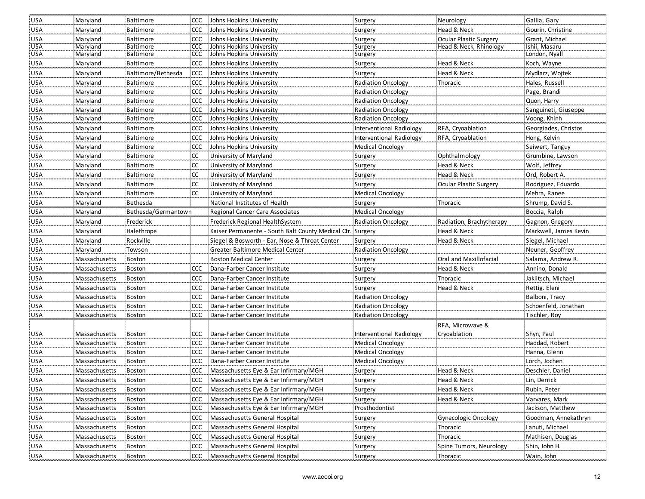| <b>USA</b>               | Maryland                       | Baltimore               |               | CCC Johns Hopkins University                                 | Surgery                                     | Neurology                        | Gallia, Gary                    |
|--------------------------|--------------------------------|-------------------------|---------------|--------------------------------------------------------------|---------------------------------------------|----------------------------------|---------------------------------|
| <b>USA</b>               | Maryland                       | Baltimore               | CCC           | Johns Hopkins University                                     | Surgery                                     | Head & Neck                      | Gourin, Christine               |
| <b>USA</b>               | Maryland                       | Baltimore               | <b>CCC</b>    | Johns Hopkins University                                     | Surgery                                     | <b>Ocular Plastic Surgery</b>    | Grant, Michael                  |
| <b>USA</b>               | Maryland                       | Baltimore               |               | CCC Johns Hopkins University                                 | Surgery                                     | Head & Neck, Rhinology           | Ishii, Masaru                   |
| <b>USA</b>               | Maryland                       | Baltimore               | <b>CCC</b>    | Johns Hopkins University                                     | Surgery                                     |                                  | London, Nyall                   |
| USA                      | Maryland                       | Baltimore               | CCC           | Johns Hopkins University                                     | Surgery                                     | Head & Neck                      | Koch, Wayne                     |
| <b>USA</b>               | Maryland                       | Baltimore/Bethesda      | CCC           | Johns Hopkins University                                     | Surgery                                     | Head & Neck                      | Mydlarz, Wojtek                 |
| <b>USA</b>               | Maryland                       | Baltimore               | CCC           | Johns Hopkins University                                     | <b>Radiation Oncology</b>                   | Thoracic                         | Hales, Russell                  |
| <b>USA</b>               | Maryland                       | Baltimore               | CCC           | Johns Hopkins University                                     | <b>Radiation Oncology</b>                   |                                  | Page, Brandi                    |
| <b>USA</b>               | Maryland                       | Baltimore               |               | CCC Johns Hopkins University                                 | <b>Radiation Oncology</b>                   |                                  | Quon, Harry                     |
| USA                      | Maryland                       | Baltimore               | CCC           | Johns Hopkins University                                     | <b>Radiation Oncology</b>                   |                                  | Sanguineti, Giuseppe            |
| USA                      | Maryland                       | Baltimore               | CCC           | Johns Hopkins University                                     | <b>Radiation Oncology</b>                   |                                  | Voong, Khinh                    |
| USA                      | Maryland                       | <b>Baltimore</b>        | CCC           | Johns Hopkins University                                     | <b>Interventional Radiology</b>             | RFA, Cryoablation                | Georgiades, Christos            |
| USA                      | Maryland                       | Baltimore               | ccc           | Johns Hopkins University                                     | <b>Interventional Radiology</b>             | RFA, Cryoablation                | Hong, Kelvin                    |
| USA                      | Maryland                       | Baltimore               | CCC           | Johns Hopkins University                                     | <b>Medical Oncology</b>                     |                                  | Seiwert, Tanguy                 |
| USA                      | Maryland                       | Baltimore               | <sub>CC</sub> | University of Maryland                                       | Surgery                                     | Ophthalmology                    | Grumbine, Lawson                |
| <b>USA</b>               | Maryland                       | Baltimore               | <b>CC</b>     | University of Maryland                                       | Surgery                                     | Head & Neck                      | Wolf, Jeffrey                   |
| USA                      | Maryland                       | Baltimore               | CC            | University of Maryland                                       | Surgery                                     | Head & Neck                      | Ord, Robert A.                  |
| <b>USA</b>               | Maryland                       | Baltimore               | CC            | University of Maryland                                       | Surgery                                     | Ocular Plastic Surgery           | Rodriguez, Eduardo              |
| <b>USA</b>               | Maryland                       | Baltimore               | <b>CC</b>     | University of Maryland                                       | <b>Medical Oncology</b>                     |                                  | Mehra, Ranee                    |
| <b>USA</b>               | Maryland                       | Bethesda                |               | National Institutes of Health                                | Surgery                                     | Thoracic                         | Shrump, David S.                |
| USA                      | Maryland                       | Bethesda/Germantown     |               | Regional Cancer Care Associates                              | <b>Medical Oncology</b>                     |                                  | Boccia, Ralph                   |
| USA                      | Maryland                       | Frederick               |               | Frederick Regional HealthSystem                              | <b>Radiation Oncology</b>                   | Radiation, Brachytherapy         | Gagnon, Gregory                 |
| <b>USA</b>               | Maryland                       | Halethrope              |               | Kaiser Permanente - South Balt County Medical Ctr. Surgery   |                                             | Head & Neck                      | Markwell, James Kevin           |
| USA                      | Maryland                       | Rockville               |               | Siegel & Bosworth - Ear, Nose & Throat Center                | Surgery                                     | Head & Neck                      | Siegel, Michael                 |
| USA                      | Maryland                       | Towson                  |               | Greater Baltimore Medical Center                             | <b>Radiation Oncology</b>                   |                                  | Neuner, Geoffrey                |
| USA                      | Massachusetts                  | <b>Boston</b>           |               | <b>Boston Medical Center</b>                                 | Surgery                                     | Oral and Maxillofacial           | Salama, Andrew R.               |
| USA                      | Massachusetts                  | Boston                  | CCC           | Dana-Farber Cancer Institute                                 | Surgery                                     | Head & Neck                      | Annino, Donald                  |
| <b>USA</b>               | Massachusetts                  | Boston                  | <b>CCC</b>    | Dana-Farber Cancer Institute                                 | Surgery                                     | Thoracic                         | Jaklitsch, Michael              |
|                          |                                |                         | CCC           | Dana-Farber Cancer Institute                                 |                                             | Head & Neck                      |                                 |
| USA<br><b>USA</b>        | Massachusetts<br>Massachusetts | Boston<br><b>Boston</b> | <b>CCC</b>    | Dana-Farber Cancer Institute                                 | Surgery<br><b>Radiation Oncology</b>        |                                  | Rettig. Eleni<br>Balboni, Tracy |
| <b>USA</b>               | Massachusetts                  | Boston                  | CCC           | Dana-Farber Cancer Institute                                 | <b>Radiation Oncology</b>                   |                                  | Schoenfeld, Jonathan            |
| <b>USA</b>               | Massachusetts                  | <b>Boston</b>           | <b>CCC</b>    | : Dana-Farber Cancer Institute                               | <b>Radiation Oncology</b>                   |                                  | Tischler, Roy                   |
|                          |                                |                         |               |                                                              |                                             |                                  |                                 |
|                          | Massachusetts                  | <b>Boston</b>           | ccc           | Dana-Farber Cancer Institute                                 | <b>Interventional Radiology</b>             | RFA, Microwave &<br>Cryoablation | Shyn, Paul                      |
| USA                      |                                | Boston                  | <b>CCC</b>    |                                                              |                                             |                                  |                                 |
| <b>USA</b><br><b>USA</b> | Massachusetts<br>Massachusetts | Boston                  | CCC           | Dana-Farber Cancer Institute<br>Dana-Farber Cancer Institute | <b>Medical Oncology</b><br>Medical Oncology |                                  | Haddad, Robert<br>Hanna, Glenn  |
| <b>USA</b>               |                                | Boston                  | <b>CCC</b>    | Dana-Farber Cancer Institute                                 | Medical Oncology                            |                                  | Lorch, Jochen                   |
|                          | Massachusetts                  |                         |               |                                                              |                                             |                                  |                                 |
| <b>USA</b>               | Massachusetts                  | <b>Boston</b>           | CCC           | Massachusetts Eye & Ear Infirmary/MGH                        | Surgery                                     | Head & Neck                      | Deschler, Daniel                |
| USA                      | Massachusetts                  | Boston                  |               | CCC Massachusetts Eye & Ear Infirmary/MGH                    | Surgery                                     | Head & Neck                      | Lin, Derrick                    |
| USA                      | Massachusetts                  | Boston                  |               | CCC Massachusetts Eye & Ear Infirmary/MGH                    | Surgery                                     | Head & Neck                      | Rubin, Peter                    |
| USA                      | Massachusetts                  | <b>Boston</b>           | CCC           | Massachusetts Eye & Ear Infirmary/MGH                        | Surgery                                     | Head & Neck                      | Varvares, Mark                  |
| USA                      | Massachusetts                  | Boston                  | <b>CCC</b>    | Massachusetts Eye & Ear Infirmary/MGH                        | Prosthodontist                              |                                  | Jackson, Matthew                |
| <b>USA</b>               | Massachusetts                  | Boston                  | ccc           | Massachusetts General Hospital                               | Surgery                                     | <b>Gynecologic Oncology</b>      | Goodman, Annekathryn            |
| <b>USA</b>               | Massachusetts                  | Boston                  | CCC           | Massachusetts General Hospital                               | Surgery                                     | Thoracic                         | Lanuti, Michael                 |
| <b>USA</b>               | Massachusetts                  | Boston                  | ccc           | Massachusetts General Hospital                               | Surgery                                     | Thoracic                         | Mathisen, Douglas               |
| <b>USA</b>               | Massachusetts                  | <b>Boston</b>           | <b>CCC</b>    | Massachusetts General Hospital                               | Surgery                                     | Spine Tumors, Neurology          | Shin, John H.                   |
| <b>USA</b>               | Massachusetts                  | Boston                  |               | CCC Massachusetts General Hospital                           | Surgery                                     | Thoracic                         | Wain, John                      |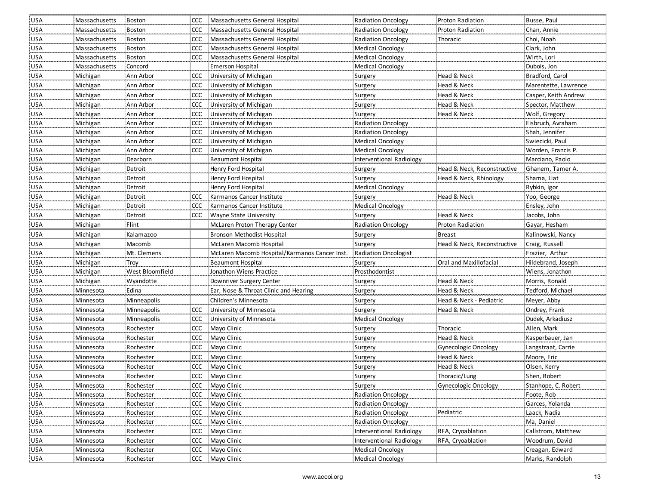| USA        | Massachusetts | Boston          |            | CCC Massachusetts General Hospital            | <b>Radiation Oncology</b>   | Proton Radiation            | Busse, Paul          |
|------------|---------------|-----------------|------------|-----------------------------------------------|-----------------------------|-----------------------------|----------------------|
| <b>USA</b> | Massachusetts | <b>Boston</b>   | CCC.       | Massachusetts General Hospital                | <b>Radiation Oncology</b>   | Proton Radiation            | Chan, Annie          |
| USA        | Massachusetts | Boston          | CCC.       | Massachusetts General Hospital                | <b>Radiation Oncology</b>   | Thoracic                    | Choi, Noah           |
| USA        | Massachusetts | Boston          | <b>CCC</b> | Massachusetts General Hospital                | Medical Oncology            |                             | Clark, John          |
| USA        | Massachusetts | Boston          | <b>CCC</b> | Massachusetts General Hospital                | Medical Oncology            |                             | Wirth, Lori          |
| <b>USA</b> | Massachusetts | Concord         |            | Emerson Hospital                              | <b>Medical Oncology</b>     |                             | Dubois, Jon          |
| <b>USA</b> | Michigan      | Ann Arbor       |            | CCC University of Michigan                    | Surgery                     | Head & Neck                 | Bradford, Carol      |
| <b>USA</b> | Michigan      | Ann Arbor       |            | CCC University of Michigan                    | Surgery                     | Head & Neck                 | Marentette, Lawrence |
| USA        | Michigan      | Ann Arbor       | CCC        | University of Michigan                        | Surgery                     | Head & Neck                 | Casper, Keith Andrew |
| USA        | Michigan      | Ann Arbor       | <b>CCC</b> | University of Michigan                        | Surgery                     | Head & Neck                 | Spector, Matthew     |
| USA        | Michigan      | Ann Arbor       | CCC        | University of Michigan                        | Surgery                     | Head & Neck                 | Wolf, Gregory        |
| <b>USA</b> | Michigan      | Ann Arbor       | <b>CCC</b> | University of Michigan                        | <b>Radiation Oncology</b>   |                             | Eisbruch, Avraham    |
| <b>USA</b> | Michigan      | Ann Arbor       | CCC        | University of Michigan                        | <b>Radiation Oncology</b>   |                             | Shah, Jennifer       |
| USA        | Michigan      | Ann Arbor       | <b>CCC</b> | University of Michigan                        | Medical Oncology            |                             | Swiecicki, Paul      |
| <b>USA</b> | Michigan      | Ann Arbor       | <b>CCC</b> | University of Michigan                        | Medical Oncology            |                             | Worden, Francis P.   |
| <b>USA</b> | Michigan      | Dearborn        |            | <b>Beaumont Hospital</b>                      | Interventional Radiology    |                             | Marciano, Paolo      |
| <b>USA</b> | Michigan      | Detroit         |            | Henry Ford Hospital                           | Surgery                     | Head & Neck, Reconstructive | Ghanem, Tamer A.     |
| <b>USA</b> | Michigan      | Detroit         |            | Henry Ford Hospital                           | Surgery                     | Head & Neck, Rhinology      | Shama, Liat          |
| <b>USA</b> | Michigan      | Detroit         |            | Henry Ford Hospital                           | <b>Medical Oncology</b>     |                             | Rybkin, Igor         |
| <b>USA</b> | Michigan      | Detroit         | CCC.       | Karmanos Cancer Institute                     | Surgery                     | Head & Neck                 | Yoo, George          |
| <b>USA</b> | Michigan      | Detroit         | <b>CCC</b> | Karmanos Cancer Institute                     | <b>Medical Oncology</b>     |                             | Ensley, John         |
| USA        | Michigan      | Detroit         | ccc        | Wayne State University                        | Surgery                     | Head & Neck                 | Jacobs, John         |
| <b>USA</b> | Michigan      | Flint           |            | McLaren Proton Therapy Center                 | Radiation Oncology          | Proton Radiation            | Gayar, Hesham        |
| <b>USA</b> | Michigan      | Kalamazoo       |            | Bronson Methodist Hospital                    | Surgery                     | <b>Breast</b>               | Kalinowski, Nancy    |
| USA        | Michigan      | Macomb          |            | McLaren Macomb Hospital                       | Surgery                     | Head & Neck, Reconstructive | Craig, Russell       |
| USA        | Michigan      | Mt. Clemens     |            | McLaren Macomb Hospital/Karmanos Cancer Inst. | <b>Radiation Oncologist</b> |                             | Frazier, Arthur      |
| <b>USA</b> | Michigan      | Troy            |            | <b>Beaumont Hospital</b>                      | Surgery                     | Oral and Maxillofacial      | Hildebrand, Joseph   |
| <b>USA</b> | Michigan      | West Bloomfield |            | Jonathon Wiens Practice                       | Prosthodontist              |                             | Wiens, Jonathon      |
| <b>USA</b> | Michigan      | Wyandotte       |            | Downriver Surgery Center                      | Surgery                     | Head & Neck                 | Morris, Ronald       |
| <b>USA</b> | Minnesota     | Edina           |            | Ear, Nose & Throat Clinic and Hearing         | Surgery                     | Head & Neck                 | Tedford, Michael     |
| USA        | Minnesota     | Minneapolis     |            | Children's Minnesota                          | Surgery                     | Head & Neck - Pediatric     | Meyer, Abby          |
| <b>USA</b> | Minnesota     | Minneapolis     | CCC.       | University of Minnesota                       | Surgery                     | Head & Neck                 | Ondrey, Frank        |
| USA        | Minnesota     | Minneapolis     | <b>CCC</b> | University of Minnesota                       | Medical Oncology            |                             | Dudek, Arkadiusz     |
| USA        | Minnesota     | Rochester       | <b>CCC</b> | Mayo Clinic                                   | Surgery                     | Thoracic                    | Allen, Mark          |
| <b>USA</b> | Minnesota     | Rochester       | <b>CCC</b> | Mayo Clinic                                   | Surgery                     | Head & Neck                 | Kasperbauer, Jan     |
| <b>USA</b> | Minnesota     | Rochester       | <b>CCC</b> | Mayo Clinic                                   | Surgery                     | Gynecologic Oncology        | Langstraat, Carrie   |
| USA        | Minnesota     | Rochester       | <b>CCC</b> | Mayo Clinic                                   | Surgery                     | Head & Neck                 | Moore, Eric          |
| USA        | Minnesota     | Rochester       | CCC        | Mayo Clinic                                   | Surgery                     | Head & Neck                 | Olsen, Kerry         |
| <b>USA</b> | Minnesota     | Rochester       |            | CCC Mayo Clinic                               | Surgery                     | Thoracic/Lung               | Shen, Robert         |
| USA        | Minnesota     | Rochester       |            | CCC Mayo Clinic                               | Surgery                     | Gynecologic Oncology        | Stanhope, C. Robert  |
| <b>USA</b> | Minnesota     | Rochester       |            | CCC Mayo Clinic                               | <b>Radiation Oncology</b>   |                             | Foote, Rob           |
| USA        | Minnesota     | Rochester       |            | CCC Mayo Clinic                               | <b>Radiation Oncology</b>   |                             | Garces, Yolanda      |
| <b>USA</b> | Minnesota     | Rochester       |            | CCC Mayo Clinic                               | <b>Radiation Oncology</b>   | Pediatric                   | Laack, Nadia         |
| USA        | Minnesota     | Rochester       | CCC        | Mayo Clinic                                   | Radiation Oncology          |                             | Ma, Daniel           |
| USA        | Minnesota     | Rochester       |            | CCC Mayo Clinic                               | Interventional Radiology    | RFA, Cryoablation           | Callstrom, Matthew   |
| <b>USA</b> | Minnesota     | Rochester       |            | CCC Mayo Clinic                               | Interventional Radiology    | RFA, Cryoablation           | Woodrum, David       |
| <b>USA</b> | Minnesota     | Rochester       |            | CCC Mayo Clinic                               | Medical Oncology            |                             | Creagan, Edward      |
| <b>USA</b> | Minnesota     | Rochester       |            | CCC Mayo Clinic                               | Medical Oncology            |                             | Marks, Randolph      |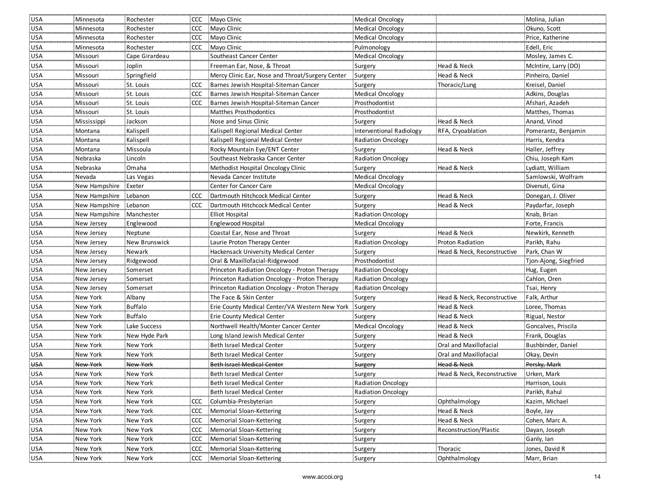| <b>USA</b>               | Minnesota            | Rochester                |            | CCC Mayo Clinic                                      | Medical Oncology          |                               | Molina, Julian                  |
|--------------------------|----------------------|--------------------------|------------|------------------------------------------------------|---------------------------|-------------------------------|---------------------------------|
| USA                      | Minnesota            | Rochester                | <b>CCC</b> | Mayo Clinic                                          | Medical Oncology          |                               | Okuno, Scott                    |
| <b>USA</b>               | Minnesota            | Rochester                | <b>CCC</b> | Mayo Clinic                                          | Medical Oncology          |                               | Price, Katherine                |
| <b>USA</b>               | Minnesota            | Rochester                |            | CCC Mayo Clinic                                      | Pulmonology               |                               | Edell, Eric                     |
| <b>USA</b>               | Missouri             | Cape Girardeau           |            | Southeast Cancer Center                              | <b>Medical Oncology</b>   |                               | Mosley, James C.                |
| <b>USA</b>               | Missouri             | Joplin                   |            | Freeman Ear, Nose, & Throat                          | Surgery                   | Head & Neck                   | McIntire, Larry (DO)            |
| <b>USA</b>               | Missouri             | Springfield              |            | Mercy Clinic Ear, Nose and Throat/Surgery Center     | Surgery                   | Head & Neck                   | Pinheiro, Daniel                |
| USA                      | Missouri             | St. Louis                | <b>CCC</b> | Barnes Jewish Hospital-Siteman Cancer                | Surgery                   | Thoracic/Lung                 | Kreisel, Daniel                 |
| USA                      | Missouri             | St. Louis                | CCC        | Barnes Jewish Hospital-Siteman Cancer                | <b>Medical Oncology</b>   |                               | Adkins, Douglas                 |
| <b>USA</b>               | Missouri             | St. Louis                | <b>CCC</b> | Barnes Jewish Hospital-Siteman Cancer                | Prosthodontist            |                               | Afshari, Azadeh                 |
| <b>USA</b>               | Missouri             | St. Louis                |            | Matthes Prosthodontics                               | Prosthodontist            |                               | Matthes, Thomas                 |
| USA                      | Mississippi          | Jackson                  |            | Nose and Sinus Clinic                                | Surgery                   | Head & Neck                   | Anand, Vinod                    |
| <b>USA</b>               | Montana              | Kalispell                |            | Kalispell Regional Medical Center                    | Interventional Radiology  | RFA, Cryoablation             | Pomerantz, Benjamin             |
| <b>USA</b>               | Montana              | Kalispell                |            | Kalispell Regional Medical Center                    | Radiation Oncology        |                               | Harris, Kendra                  |
| <b>USA</b>               | Montana              | Missoula                 |            | Rocky Mountain Eye/ENT Center                        | Surgery                   | Head & Neck                   | Haller, Jeffrey                 |
| <b>USA</b>               | Nebraska             | Lincoln                  |            | Southeast Nebraska Cancer Center                     | <b>Radiation Oncology</b> |                               | Chiu, Joseph Kam                |
| USA                      | Nebraska             | Omaha                    |            | Methodist Hospital Oncology Clinic                   | Surgery                   | Head & Neck                   | Lydiatt, William                |
| USA                      | Nevada               | Las Vegas                |            | Nevada Cancer Institute                              | <b>Medical Oncology</b>   |                               | Samlowski, Wolfram              |
| <b>USA</b>               | New Hampshire        | Exeter                   |            | Center for Cancer Care                               | Medical Oncology          |                               | Divenuti, Gina                  |
| <b>USA</b>               | New Hampshire        | Lebanon                  | <b>CCC</b> | Dartmouth Hitchcock Medical Center                   | Surgery                   | Head & Neck                   | Donegan, J. Oliver              |
| <b>USA</b>               | New Hampshire        | Lebanon                  | <b>CCC</b> | Dartmouth Hitchcock Medical Center                   | Surgery                   | Head & Neck                   | Paydarfar, Joseph               |
| <b>USA</b>               | New Hampshire        | Manchester               |            | <b>Elliot Hospital</b>                               | Radiation Oncology        |                               | Knab, Brian                     |
| <b>USA</b>               | New Jersey           | Englewood                |            | Englewood Hospital                                   | Medical Oncology          |                               | Forte, Francis                  |
| <b>USA</b>               | New Jersey           | Neptune                  |            | Coastal Ear, Nose and Throat                         | Surgery                   | Head & Neck                   | Newkirk, Kenneth                |
| <b>USA</b>               | New Jersey           | New Brunswick            |            | Laurie Proton Therapy Center                         | Radiation Oncology        | Proton Radiation              | Parikh, Rahu                    |
| <b>USA</b>               | New Jersey           | Newark                   |            | Hackensack University Medical Center                 | Surgery                   | Head & Neck, Reconstructive   | Park, Chan W                    |
| <b>USA</b>               | New Jersey           | Ridgewood                |            | Oral & Maxillofacial-Ridgewood                       | Prosthodontist            |                               | Tjon-Ajong, Siegfried           |
| <b>USA</b>               | New Jersey           | Somerset                 |            | Princeton Radiation Oncology - Proton Therapy        | Radiation Oncology        |                               | Hug, Eugen                      |
|                          |                      |                          |            | Princeton Radiation Oncology - Proton Therapy        | <b>Radiation Oncology</b> |                               |                                 |
| <b>USA</b>               | New Jersey           |                          |            |                                                      |                           |                               | Cahlon, Oren                    |
|                          | New Jersey           | Somerset<br>Somerset     |            | Princeton Radiation Oncology - Proton Therapy        | Radiation Oncology        |                               | Tsai, Henry                     |
| <b>USA</b>               | New York             |                          |            | The Face & Skin Center                               |                           | Head & Neck, Reconstructive   | Falk, Arthur                    |
| <b>USA</b><br><b>USA</b> | New York             | Albany<br><b>Buffalo</b> |            | Erie County Medical Center/VA Western New York       | Surgery<br>Surgery        | Head & Neck                   | Loree, Thomas                   |
| <b>USA</b>               | New York             | Buffalo                  |            | <b>Erie County Medical Center</b>                    | Surgery                   | Head & Neck                   | Rigual, Nestor                  |
| <b>USA</b>               | New York             | Lake Success             |            | Northwell Health/Monter Cancer Center                | <b>Medical Oncology</b>   | Head & Neck                   | Goncalves, Priscila             |
| <b>USA</b>               | New York             | New Hyde Park            |            | Long Island Jewish Medical Center                    | Surgery                   | Head & Neck                   | Frank, Douglas                  |
| <b>USA</b>               | New York             | New York                 |            | Beth Israel Medical Center                           | Surgery                   | <b>Oral and Maxillofacial</b> | Bushbinder, Daniel              |
| <b>USA</b>               | New York             | New York                 |            | Beth Israel Medical Center                           |                           | Oral and Maxillofacial        | Okay, Devin                     |
| <b>USA</b>               | New York             | <b>New York</b>          |            | <b>Beth Israel Medical Center</b>                    | Surgery<br>Surgery        | Head & Neck                   | Persky, Mark                    |
| <b>USA</b>               | New York             | New York                 |            | Beth Israel Medical Center                           | Surgery                   | Head & Neck, Reconstructive   | Urken, Mark                     |
| <b>USA</b>               | New York             | New York                 |            | Beth Israel Medical Center                           | <b>Radiation Oncology</b> |                               | Harrison, Louis                 |
|                          |                      |                          |            | Beth Israel Medical Center                           | Radiation Oncology        |                               |                                 |
| USA<br><b>USA</b>        | New York<br>New York | New York<br>New York     | ccc        | Columbia-Presbyterian                                |                           | Ophthalmology                 | Parikh, Rahul<br>Kazim, Michael |
| <b>USA</b>               | New York             | New York                 | <b>CCC</b> | Memorial Sloan-Kettering                             | Surgery                   | Head & Neck                   |                                 |
|                          |                      |                          | <b>CCC</b> |                                                      | Surgery                   |                               | Boyle, Jay                      |
| <b>USA</b>               | New York             | New York                 | <b>CCC</b> | Memorial Sloan-Kettering                             | Surgery                   | Head & Neck                   | Cohen, Marc A.                  |
| <b>USA</b><br><b>USA</b> | New York<br>New York | New York<br>New York     | <b>CCC</b> | Memorial Sloan-Kettering<br>Memorial Sloan-Kettering | Surgery                   | Reconstruction/Plastic        | Dayan, Joseph                   |
|                          |                      |                          | <b>CCC</b> | Memorial Sloan-Kettering                             | Surgery                   | Thoracic                      | Ganly, Ian                      |
| <b>USA</b><br><b>USA</b> | New York<br>New York | New York<br>New York     | <b>CCC</b> | Memorial Sloan-Kettering                             | Surgery<br>Surgery        | Ophthalmology                 | Jones, David R<br>Marr, Brian   |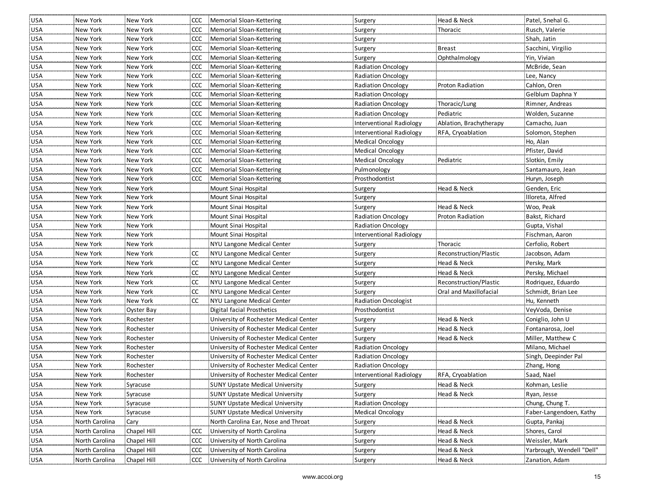| <b>USA</b> | New York       | New York    |               | CCC Memorial Sloan-Kettering           | Surgery                   | Head & Neck             | Patel, Snehal G.          |
|------------|----------------|-------------|---------------|----------------------------------------|---------------------------|-------------------------|---------------------------|
| <b>USA</b> | New York       | New York    | CCC           | Memorial Sloan-Kettering               | Surgery                   | Thoracic                | Rusch, Valerie            |
| <b>USA</b> | New York       | New York    | ccc           | Memorial Sloan-Kettering               | Surgery                   |                         | Shah, Jatin               |
| <b>USA</b> | New York       | New York    | CCC           | Memorial Sloan-Kettering               | Surgery                   | <b>Breast</b>           | Sacchini, Virgilio        |
| <b>USA</b> | New York       | New York    | CCC           | Memorial Sloan-Kettering               | Surgery                   | Ophthalmology           | Yin, Vivian               |
| <b>USA</b> | New York       | New York    | <b>CCC</b>    | Memorial Sloan-Kettering               | <b>Radiation Oncology</b> |                         | McBride, Sean             |
| <b>USA</b> | New York       | New York    | <b>CCC</b>    | Memorial Sloan-Kettering               | Radiation Oncology        |                         | Lee, Nancy                |
| <b>USA</b> | New York       | New York    | <b>CCC</b>    | Memorial Sloan-Kettering               | <b>Radiation Oncology</b> | <b>Proton Radiation</b> | Cahlon, Oren              |
| <b>USA</b> | New York       | New York    | <b>CCC</b>    | Memorial Sloan-Kettering               | <b>Radiation Oncology</b> |                         | Gelblum Daphna Y          |
| <b>USA</b> | New York       | New York    | <b>CCC</b>    | Memorial Sloan-Kettering               | <b>Radiation Oncology</b> | Thoracic/Lung           | Rimner, Andreas           |
| <b>USA</b> | New York       | New York    | <b>CCC</b>    | Memorial Sloan-Kettering               | <b>Radiation Oncology</b> | Pediatric               | Wolden, Suzanne           |
| USA        | New York       | New York    | <b>CCC</b>    | Memorial Sloan-Kettering               | Interventional Radiology  | Ablation, Brachytherapy | Camacho, Juan             |
| <b>USA</b> | New York       | New York    | <b>CCC</b>    | Memorial Sloan-Kettering               | Interventional Radiology  | RFA, Cryoablation       | Solomon, Stephen          |
| <b>USA</b> | New York       | New York    | <b>CCC</b>    | Memorial Sloan-Kettering               | <b>Medical Oncology</b>   |                         | Ho, Alan                  |
| <b>USA</b> | New York       | New York    | <b>CCC</b>    | Memorial Sloan-Kettering               | Medical Oncology          |                         | Pfister, David            |
| <b>USA</b> | New York       | New York    | <b>CCC</b>    | Memorial Sloan-Kettering               | Medical Oncology          | Pediatric               | Slotkin, Emily            |
| <b>USA</b> | New York       | New York    | <b>CCC</b>    | Memorial Sloan-Kettering               | Pulmonology               |                         | Santamauro, Jean          |
| <b>USA</b> | New York       | New York    |               | CCC Memorial Sloan-Kettering           | Prosthodontist            |                         | Huryn, Joseph             |
| <b>USA</b> | New York       | New York    |               | Mount Sinai Hospital                   | Surgery                   | Head & Neck             | Genden, Eric              |
| <b>USA</b> | New York       | New York    |               | Mount Sinai Hospital                   | Surgery                   |                         | Illoreta, Alfred          |
| USA        | New York       | New York    |               | Mount Sinai Hospital                   | Surgery                   | Head & Neck             | Woo, Peak                 |
| <b>USA</b> | New York       | New York    |               | Mount Sinai Hospital                   | <b>Radiation Oncology</b> | Proton Radiation        | Bakst, Richard            |
| <b>USA</b> | New York       | New York    |               | Mount Sinai Hospital                   | Radiation Oncology        |                         | Gupta, Vishal             |
| <b>USA</b> | New York       | New York    |               | Mount Sinai Hospital                   | Interventional Radiology  |                         | Fischman, Aaron           |
| <b>USA</b> | New York       | New York    |               | NYU Langone Medical Center             | Surgery                   | Thoracic                | Cerfolio, Robert          |
| <b>USA</b> | New York       | New York    | <b>CC</b>     | NYU Langone Medical Center             | Surgery                   | Reconstruction/Plastic  | Jacobson, Adam            |
| <b>USA</b> | New York       | New York    | <b>CC</b>     | NYU Langone Medical Center             | Surgery                   | Head & Neck             | Persky, Mark              |
| <b>USA</b> | New York       | New York    | <sub>cc</sub> | NYU Langone Medical Center             | Surgery                   | Head & Neck             | Persky, Michael           |
| <b>USA</b> | New York       | New York    | <b>CC</b>     | NYU Langone Medical Center             | Surgery                   | Reconstruction/Plastic  | Rodriquez, Eduardo        |
| <b>USA</b> | New York       | New York    | <sub>cc</sub> | NYU Langone Medical Center             | Surgery                   | Oral and Maxillofacial  | Schmidt, Brian Lee        |
| <b>USA</b> | New York       | New York    | <b>CC</b>     | NYU Langone Medical Center             | Radiation Oncologist      |                         | Hu, Kenneth               |
| <b>USA</b> | New York       | Oyster Bay  |               | Digital facial Prosthetics             | Prosthodontist            |                         | VeyVoda, Denise           |
| USA        | New York       | Rochester   |               | University of Rochester Medical Center | Surgery                   | Head & Neck             | Coniglio, John U          |
| USA        | New York       | Rochester   |               | University of Rochester Medical Center | Surgery                   | Head & Neck             | Fontanarosa, Joel         |
| USA        | New York       | Rochester   |               | University of Rochester Medical Center | Surgery                   | Head & Neck             | Miller, Matthew C         |
| <b>USA</b> | New York       | Rochester   |               | University of Rochester Medical Center | <b>Radiation Oncology</b> |                         | Milano, Michael           |
| <b>USA</b> | New York       | Rochester   |               | University of Rochester Medical Center | <b>Radiation Oncology</b> |                         | Singh, Deepinder Pal      |
| <b>USA</b> | New York       | Rochester   |               | University of Rochester Medical Center | <b>Radiation Oncology</b> |                         | Zhang, Hong               |
| <b>USA</b> | New York       | Rochester   |               | University of Rochester Medical Center | Interventional Radiology  | RFA, Cryoablation       | Saad, Nael                |
| <b>USA</b> | New York       | Syracuse    |               | SUNY Upstate Medical University        | Surgery                   | Head & Neck             | Kohman, Leslie            |
| <b>USA</b> | New York       | Syracuse    |               | <b>SUNY Upstate Medical University</b> | Surgery                   | Head & Neck             | Ryan, Jesse               |
| <b>USA</b> | New York       | Syracuse    |               | <b>SUNY Upstate Medical University</b> | Radiation Oncology        |                         | Chung, Chung T.           |
| <b>USA</b> | New York       | Syracuse    |               | <b>SUNY Upstate Medical University</b> | <b>Medical Oncology</b>   |                         | Faber-Langendoen, Kathy   |
| <b>USA</b> | North Carolina | Cary        |               | North Carolina Ear, Nose and Throat    | Surgery                   | Head & Neck             | Gupta, Pankaj             |
| USA        | North Carolina | Chapel Hill | <b>CCC</b>    | University of North Carolina           | Surgery                   | Head & Neck             | Shores, Carol             |
| <b>USA</b> | North Carolina | Chapel Hill | ccc           | University of North Carolina           | Surgery                   | Head & Neck             | Weissler, Mark            |
| <b>USA</b> | North Carolina | Chapel Hill | <b>CCC</b>    | University of North Carolina           | Surgery                   | Head & Neck             | Yarbrough, Wendell "Dell" |
| <b>USA</b> | North Carolina | Chapel Hill |               | CCC University of North Carolina       | Surgery                   | Head & Neck             | Zanation, Adam            |
|            |                |             |               |                                        |                           |                         |                           |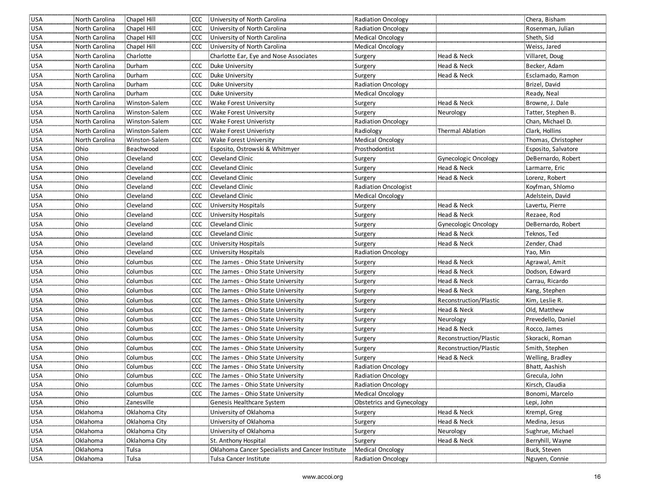|                                                                                                           | Rosenman, Julian                           |
|-----------------------------------------------------------------------------------------------------------|--------------------------------------------|
| USA<br>North Carolina<br>Chapel Hill<br>ccc<br>University of North Carolina<br>Radiation Oncology         |                                            |
| Chapel Hill<br><b>USA</b><br>CCC<br>University of North Carolina<br>North Carolina<br>Medical Oncology    | Sheth, Sid                                 |
| Chapel Hill<br>CCC University of North Carolina<br><b>USA</b><br>North Carolina<br>Medical Oncology       | Weiss, Jared                               |
| Charlotte<br><b>USA</b><br>North Carolina<br>Charlotte Ear, Eye and Nose Associates<br>Surgery            | Head & Neck<br>Villaret, Doug              |
| <b>USA</b><br>North Carolina<br>Durham<br>CCC<br>Duke University<br>Surgery                               | Head & Neck<br>Becker, Adam                |
| CCC<br>Duke University<br><b>USA</b><br>North Carolina<br>Durham<br>Surgery                               | Head & Neck<br>Esclamado, Ramon            |
| <b>USA</b><br>Durham<br>CCC<br>Duke University<br><b>Radiation Oncology</b><br>North Carolina             | Brizel, David                              |
| Duke University<br><b>USA</b><br>North Carolina<br>Durham<br>CCC<br>Medical Oncology                      | Ready, Neal                                |
| <b>USA</b><br>North Carolina<br>Winston-Salem<br>CCC.<br>Wake Forest University<br>Surgery                | Head & Neck<br>Browne, J. Dale             |
| Wake Forest University<br><b>USA</b><br>North Carolina<br>Winston-Salem<br>ccc<br>Surgery<br>Neurology    | Tatter, Stephen B.                         |
| USA<br>North Carolina<br>Winston-Salem<br><b>CCC</b><br>Wake Forest Univeristy<br>Radiation Oncology      | Chan, Michael D.                           |
| <b>CCC</b><br><b>USA</b><br>North Carolina<br>Winston-Salem<br>Wake Forest Univeristy<br>Radiology        | Clark, Hollins<br>Thermal Ablation         |
| Medical Oncology<br><b>USA</b><br>North Carolina<br>Winston-Salem<br>CCC Wake Forest University           | Thomas, Christopher                        |
| <b>USA</b><br>Ohio<br>Beachwood<br>Esposito, Ostrowski & Whitmyer<br>Prosthodontist                       | Esposito, Salvatore                        |
| <b>USA</b><br>Ohio<br>Cleveland<br><b>CCC</b><br>Cleveland Clinic<br>Surgery                              | DeBernardo, Robert<br>Gynecologic Oncology |
| <b>USA</b><br>Ohio<br>Cleveland<br><b>CCC</b><br>Cleveland Clinic<br>Surgery                              | Head & Neck<br>Larmarre, Eric              |
| USA<br>Ohio<br>Cleveland<br><b>CCC</b><br>Cleveland Clinic<br>Surgery                                     | Lorenz, Robert<br>Head & Neck              |
| USA<br>Ohio<br>Cleveland<br>ccc<br>Cleveland Clinic<br><b>Radiation Oncologist</b>                        | Koyfman, Shlomo                            |
| Cleveland Clinic<br>Medical Oncology<br><b>USA</b><br>Ohio<br>Cleveland<br><b>CCC</b>                     | Adelstein, David                           |
| <b>USA</b><br>Ohio<br>Cleveland<br>CCC University Hospitals<br>Surgery                                    | Head & Neck<br>Lavertu, Pierre             |
| Ohio<br><b>USA</b><br>Cleveland<br>CCC<br>University Hospitals<br>Surgery                                 | Head & Neck<br>Rezaee, Rod                 |
| USA<br>Ohio<br>CCC<br>Cleveland Clinic<br>Cleveland<br>Surgery                                            | DeBernardo, Robert<br>Gynecologic Oncology |
| Ohio<br><b>USA</b><br>Cleveland<br>CCC<br>Cleveland Clinic<br>Surgery                                     | Head & Neck<br>Teknos, Ted                 |
| <b>USA</b><br>Ohio<br>Cleveland<br>CCC<br>University Hospitals<br>Surgery                                 | Head & Neck<br>Zender, Chad                |
| <b>USA</b><br>Ohio<br>Cleveland<br><b>CCC</b><br><b>University Hospitals</b><br><b>Radiation Oncology</b> | Yao, Min                                   |
| Columbus<br>The James - Ohio State University<br><b>USA</b><br>Ohio<br>CCC<br>Surgery                     | Head & Neck<br>Agrawal, Amit               |
| Columbus<br>CCC The James - Ohio State University<br><b>USA</b><br>Ohio<br>Surgery                        | Head & Neck<br>Dodson, Edward              |
| Ohio<br>Columbus<br>The James - Ohio State University<br><b>USA</b><br><b>CCC</b><br>Surgery              | Head & Neck<br>Carrau, Ricardo             |
| Ohio<br>Columbus<br><b>CCC</b><br>The James - Ohio State University<br><b>USA</b><br>Surgery              | Head & Neck<br>Kang, Stephen               |
| <b>USA</b><br>Ohio<br>Columbus<br><b>CCC</b><br>The James - Ohio State University<br>Surgery              | Reconstruction/Plastic<br>Kim, Leslie R.   |
| <b>USA</b><br>Ohio<br><b>CCC</b><br>The James - Ohio State University<br>Columbus<br>Surgery              | Head & Neck<br>Old, Matthew                |
| Ohio<br>The James - Ohio State University<br>USA<br>Columbus<br>CCC<br>Neurology<br>Surgery               | Prevedello, Daniel                         |
| Ohio<br>USA<br>Columbus<br>CCC<br>The James - Ohio State University<br>Surgery                            | Head & Neck<br>Rocco, James                |
| Ohio<br>The James - Ohio State University<br><b>USA</b><br>Columbus<br><b>CCC</b><br>Surgery              | Reconstruction/Plastic<br>Skoracki, Roman  |
| Ohio<br>The James - Ohio State University<br><b>USA</b><br>Columbus<br>CCC<br>Surgery                     | Reconstruction/Plastic<br>Smith, Stephen   |
| <b>USA</b><br>Ohio<br>Columbus<br><b>CCC</b><br>The James - Ohio State University<br>Surgery              | Head & Neck<br>Welling, Bradley            |
| <b>USA</b><br>Ohio<br>Columbus<br>CCC<br>The James - Ohio State University<br><b>Radiation Oncology</b>   | Bhatt, Aashish                             |
| <b>USA</b><br>Ohio<br>Columbus<br>CCC<br>The James - Ohio State University<br><b>Radiation Oncology</b>   | Grecula, John                              |
| USA<br>Ohio<br>CCC The James - Ohio State University<br><b>Radiation Oncology</b><br>Columbus             | Kirsch, Claudia                            |
| <b>USA</b><br>Ohio<br>Columbus<br>CCC The James - Ohio State University<br>Medical Oncology               | Bonomi, Marcelo                            |
| <b>USA</b><br>Ohio<br>Zanesville<br>Genesis Healthcare System<br>Obstetrics and Gynecology                | Lepi, John                                 |
| <b>USA</b><br>Oklahoma<br>Oklahoma City<br>University of Oklahoma<br>Surgery                              | Head & Neck<br>Krempl, Greg                |
| USA<br>Oklahoma<br>Oklahoma City<br>University of Oklahoma<br>Surgery                                     | Head & Neck<br>Medina, Jesus               |
| University of Oklahoma<br>USA<br>Oklahoma<br>Oklahoma City<br>Neurology<br>Surgery                        | Sughrue, Michael                           |
| <b>USA</b><br>Oklahoma<br>Oklahoma City<br>St. Anthony Hospital<br>Surgery                                | Head & Neck<br>Berryhill, Wayne            |
| <b>USA</b><br>Oklahoma<br>Tulsa<br>Medical Oncology<br>Oklahoma Cancer Specialists and Cancer Institute   | Buck, Steven                               |
| Tulsa<br><b>USA</b><br>Oklahoma<br>Tulsa Cancer Institute<br><b>Radiation Oncology</b>                    | Nguyen, Connie                             |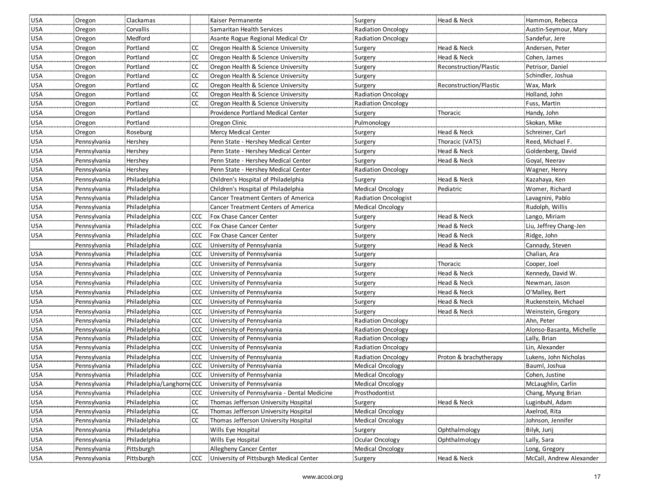| <b>USA</b> | Oregon       | Clackamas    |            | Kaiser Permanente                                     | Surgery                   | Head & Neck            | Hammon, Rebecca          |
|------------|--------------|--------------|------------|-------------------------------------------------------|---------------------------|------------------------|--------------------------|
| <b>USA</b> | Oregon       | Corvallis    |            | Samaritan Health Services                             | <b>Radiation Oncology</b> |                        | Austin-Seymour, Mary     |
| <b>USA</b> | Oregon       | Medford      |            | Asante Rogue Regional Medical Ctr                     | <b>Radiation Oncology</b> |                        | Sandefur, Jere           |
| <b>USA</b> | Oregon       | Portland     | <b>CC</b>  | Oregon Health & Science University                    | Surgery                   | Head & Neck            | Andersen, Peter          |
| <b>USA</b> | Oregon       | Portland     | <b>CC</b>  | Oregon Health & Science University                    | Surgery                   | Head & Neck            | Cohen, James             |
| <b>USA</b> | Oregon       | Portland     | <b>CC</b>  | Oregon Health & Science University                    | Surgery                   | Reconstruction/Plastic | Petrisor, Daniel         |
| <b>USA</b> | Oregon       | Portland     | <b>CC</b>  | Oregon Health & Science University                    | Surgery                   |                        | Schindler, Joshua        |
| <b>USA</b> | Oregon       | Portland     | <b>CC</b>  | Oregon Health & Science University                    | Surgery                   | Reconstruction/Plastic | Wax, Mark                |
| <b>USA</b> | Oregon       | Portland     | <b>CC</b>  | Oregon Health & Science University                    | <b>Radiation Oncology</b> |                        | Holland, John            |
| <b>USA</b> | Oregon       | Portland     | <b>CC</b>  | Oregon Health & Science University                    | Radiation Oncology        |                        | Fuss, Martin             |
| <b>USA</b> | Oregon       | Portland     |            | Providence Portland Medical Center                    | Surgery                   | Thoracic               | Handy, John              |
| <b>USA</b> | Oregon       | Portland     |            | Oregon Clinic                                         | Pulmonology               |                        | Skokan, Mike             |
| <b>USA</b> | Oregon       | Roseburg     |            | <b>Mercy Medical Center</b>                           | Surgery                   | Head & Neck            | Schreiner, Carl          |
| <b>USA</b> | Pennsylvania | Hershey      |            | Penn State - Hershey Medical Center                   | Surgery                   | Thoracic (VATS)        | Reed, Michael F.         |
| <b>USA</b> | Pennsylvania | Hershey      |            | Penn State - Hershey Medical Center                   | Surgery                   | Head & Neck            | Goldenberg, David        |
| <b>USA</b> | Pennsylvania | Hershey      |            | Penn State - Hershey Medical Center                   | Surgery                   | Head & Neck            | Goyal, Neerav            |
| <b>USA</b> | Pennsylvania | Hershey      |            | Penn State - Hershey Medical Center                   | <b>Radiation Oncology</b> |                        | Wagner, Henry            |
| <b>USA</b> | Pennsylvania | Philadelphia |            | Children's Hospital of Philadelphia                   | Surgery                   | Head & Neck            | Kazahaya, Ken            |
| <b>USA</b> | Pennsylvania | Philadelphia |            | Children's Hospital of Philadelphia                   | <b>Medical Oncology</b>   | Pediatric              | Womer, Richard           |
| <b>USA</b> | Pennsylvania | Philadelphia |            | Cancer Treatment Centers of America                   | Radiation Oncologist      |                        | Lavagnini, Pablo         |
| <b>USA</b> | Pennsylvania | Philadelphia |            | Cancer Treatment Centers of America                   | <b>Medical Oncology</b>   |                        | Rudolph, Willis          |
| USA        | Pennsylvania | Philadelphia | CCC.       | Fox Chase Cancer Center                               | Surgery                   | Head & Neck            | Lango, Miriam            |
| USA        | Pennsylvania | Philadelphia | <b>CCC</b> | Fox Chase Cancer Center                               | Surgery                   | Head & Neck            | Liu, Jeffrey Chang-Jen   |
| USA        | Pennsylvania | Philadelphia | CCC.       | Fox Chase Cancer Center                               | Surgery                   | Head & Neck            | Ridge, John              |
|            | Pennsylvania | Philadelphia | CCC        | University of Pennsylvania                            | Surgery                   | Head & Neck            | Cannady, Steven          |
| <b>USA</b> | Pennsylvania | Philadelphia | <b>CCC</b> | University of Pennsylvania                            | Surgery                   |                        | Chalian, Ara             |
| <b>USA</b> | Pennsylvania | Philadelphia | <b>CCC</b> | University of Pennsylvania                            | Surgery                   | Thoracic               | Cooper, Joel             |
| <b>USA</b> | Pennsylvania | Philadelphia | CCC        | University of Pennsylvania                            | Surgery                   | Head & Neck            | Kennedy, David W.        |
| <b>USA</b> | Pennsylvania | Philadelphia | <b>CCC</b> | University of Pennsylvania                            | Surgery                   | Head & Neck            | Newman, Jason            |
| <b>USA</b> | Pennsylvania | Philadelphia | <b>CCC</b> | University of Pennsylvania                            | Surgery                   | Head & Neck            | O'Malley, Bert           |
| <b>USA</b> | Pennsylvania | Philadelphia | <b>CCC</b> | University of Pennsylvania                            | Surgery                   | Head & Neck            | Ruckenstein, Michael     |
| <b>USA</b> | Pennsylvania | Philadelphia | <b>CCC</b> | University of Pennsylvania                            | Surgery                   | Head & Neck            | Weinstein, Gregory       |
| <b>USA</b> | Pennsylvania | Philadelphia |            | CCC University of Pennsylvania                        | Radiation Oncology        |                        | Ahn, Peter               |
| <b>USA</b> | Pennsylvania | Philadelphia |            | CCC University of Pennsylvania                        | <b>Radiation Oncology</b> |                        | Alonso-Basanta, Michelle |
| USA        | Pennsylvania | Philadelphia |            | CCC University of Pennsylvania                        | <b>Radiation Oncology</b> |                        | Lally, Brian             |
| <b>USA</b> | Pennsylvania | Philadelphia |            | CCC University of Pennsylvania                        | <b>Radiation Oncology</b> |                        | Lin, Alexander           |
| <b>USA</b> | Pennsylvania | Philadelphia | CCC.       | University of Pennsylvania                            | <b>Radiation Oncology</b> | Proton & brachytherapy | Lukens, John Nicholas    |
| USA        | Pennsylvania | Philadelphia | <b>CCC</b> | University of Pennsylvania                            | Medical Oncology          |                        | Bauml, Joshua            |
| <b>USA</b> | Pennsylvania | Philadelphia | <b>CCC</b> | University of Pennsylvania                            | <b>Medical Oncology</b>   |                        | Cohen, Justine           |
| USA        | Pennsylvania |              |            | Philadelphia/Langhorne CCC University of Pennsylvania | Medical Oncology          |                        | McLaughlin, Carlin       |
| <b>USA</b> | Pennsylvania | Philadelphia | <b>CCC</b> | University of Pennsylvania - Dental Medicine          | Prosthodontist            |                        | Chang, Myung Brian       |
| <b>USA</b> | Pennsylvania | Philadelphia | <b>CC</b>  | Thomas Jefferson University Hospital                  | Surgery                   | Head & Neck            | Luginbuhl, Adam          |
| USA        | Pennsylvania | Philadelphia | <b>CC</b>  | Thomas Jefferson University Hospital                  | <b>Medical Oncology</b>   |                        | Axelrod, Rita            |
| <b>USA</b> | Pennsylvania | Philadelphia | CC         | Thomas Jefferson University Hospital                  | <b>Medical Oncology</b>   |                        | Johnson, Jennifer        |
| <b>USA</b> | Pennsylvania | Philadelphia |            | Wills Eye Hospital                                    | Surgery                   | Ophthalmology          | Bilyk, Jurij             |
| USA        | Pennsylvania | Philadelphia |            | Wills Eye Hospital                                    | Ocular Oncology           | Ophthalmology          | Lally, Sara              |
| <b>USA</b> | Pennsylvania | Pittsburgh   |            | Allegheny Cancer Center                               | Medical Oncology          |                        | Long, Gregory            |
| <b>USA</b> | Pennsylvania | Pittsburgh   |            | CCC University of Pittsburgh Medical Center           | Surgery                   | Head & Neck            | McCall, Andrew Alexander |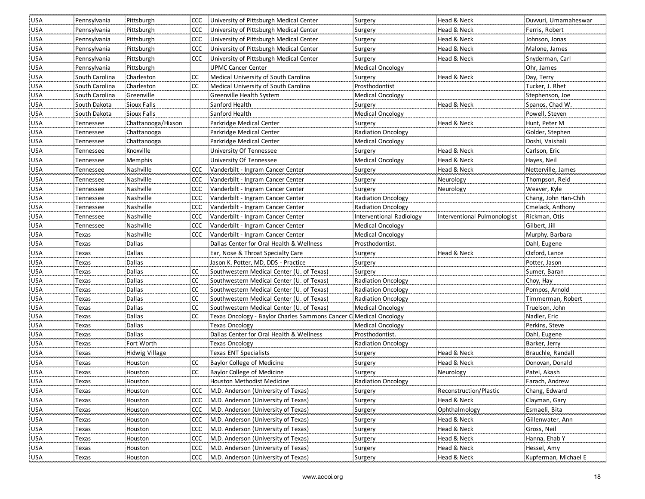| <b>USA</b>                 | Pennsylvania   | Pittsburgh         |               | CCC University of Pittsburgh Medical Center                         | Surgery                   | Head & Neck                  | Duvvuri, Umamaheswar |
|----------------------------|----------------|--------------------|---------------|---------------------------------------------------------------------|---------------------------|------------------------------|----------------------|
| <b>USA</b>                 | Pennsylvania   | Pittsburgh         |               | CCC University of Pittsburgh Medical Center                         | Surgery                   | Head & Neck                  | Ferris, Robert       |
| <b>USA</b>                 | Pennsylvania   | Pittsburgh         |               | CCC University of Pittsburgh Medical Center                         | Surgery                   | Head & Neck                  | Johnson, Jonas       |
| <b>USA</b>                 | Pennsylvania   | Pittsburgh         | <b>CCC</b>    | University of Pittsburgh Medical Center                             | Surgery                   | Head & Neck                  | Malone, James        |
| <b>USA</b>                 | Pennsylvania   | Pittsburgh         |               | CCC University of Pittsburgh Medical Center                         | Surgery                   | Head & Neck                  | Snyderman, Carl      |
| <b>USA</b>                 | Pennsylvania   | Pittsburgh         |               | UPMC Cancer Center                                                  | Medical Oncology          |                              | Ohr, James           |
| <b>USA</b>                 | South Carolina | Charleston         | <b>CC</b>     | Medical University of South Carolina                                | Surgery                   | Head & Neck                  | Day, Terry           |
| <b>USA</b>                 | South Carolina | Charleston         | <b>CC</b>     | Medical University of South Carolina                                | Prosthodontist            |                              | Tucker, J. Rhet      |
| <b>USA</b>                 | South Carolina | Greenville         |               | Greenville Health System                                            | <b>Medical Oncology</b>   |                              | Stephenson, Joe      |
| <b>USA</b>                 | South Dakota   | Sioux Falls        |               | Sanford Health                                                      | Surgery                   | Head & Neck                  | Spanos, Chad W.      |
| USA                        | South Dakota   | Sioux Falls        |               | Sanford Health                                                      | <b>Medical Oncology</b>   |                              | Powell, Steven       |
| <b>USA</b>                 | Tennessee      | Chattanooga/Hixson |               | Parkridge Medical Center                                            | Surgery                   | Head & Neck                  | Hunt, Peter M        |
| <b>USA</b>                 | Tennessee      | Chattanooga        |               | Parkridge Medical Center                                            | <b>Radiation Oncology</b> |                              | Golder, Stephen      |
| <b>USA</b>                 | Tennessee      | Chattanooga        |               | Parkridge Medical Center                                            | Medical Oncology          |                              | Doshi, Vaishali      |
| <b>USA</b>                 | Tennessee      | Knoxville          |               | University Of Tennessee                                             | Surgery                   | Head & Neck                  | Carlson, Eric        |
| <b>USA</b>                 | Tennessee      | Memphis            |               | University Of Tennessee                                             | Medical Oncology          | Head & Neck                  | Hayes, Neil          |
| <b>USA</b>                 | Tennessee      | Nashville          | CCC           | Vanderbilt - Ingram Cancer Center                                   | Surgery                   | Head & Neck                  | Netterville, James   |
| <b>USA</b>                 | Tennessee      | Nashville          | <b>CCC</b>    | Vanderbilt - Ingram Cancer Center                                   | Surgery                   | Neurology                    | Thompson, Reid       |
| <b>USA</b>                 | Tennessee      | Nashville          | <b>CCC</b>    | Vanderbilt - Ingram Cancer Center                                   | Surgery                   | Neurology                    | Weaver, Kyle         |
| <b>USA</b>                 | Tennessee      | Nashville          | <b>CCC</b>    | Vanderbilt - Ingram Cancer Center                                   | <b>Radiation Oncology</b> |                              | Chang, John Han-Chih |
| <b>USA</b>                 | Tennessee      | Nashville          | <b>CCC</b>    | Vanderbilt - Ingram Cancer Center                                   | <b>Radiation Oncology</b> |                              | Cmelack, Anthony     |
| <b>USA</b>                 | Tennessee      | Nashville          | <b>CCC</b>    | Vanderbilt - Ingram Cancer Center                                   | Interventional Radiology  | Interventional Pulmonologist | Rickman, Otis        |
| <b>USA</b>                 | Tennessee      | Nashville          | <b>CCC</b>    | Vanderbilt - Ingram Cancer Center                                   | <b>Medical Oncology</b>   |                              | Gilbert, Jill        |
| <b>USA</b>                 | Texas          | Nashville          | CCC           | Vanderbilt - Ingram Cancer Center                                   | <b>Medical Oncology</b>   |                              | Murphy. Barbara      |
| <b>USA</b>                 | Texas          | Dallas             |               | Dallas Center for Oral Health & Wellness                            | Prosthodontist.           |                              | Dahl, Eugene         |
| <b>USA</b>                 | Texas          | Dallas             |               | Ear, Nose & Throat Specialty Care                                   | Surgery                   | Head & Neck                  | Oxford, Lance        |
| <b>USA</b>                 | Texas          | Dallas             |               | Jason K. Potter, MD, DDS - Practice                                 | Surgery                   |                              | Potter, Jason        |
| USA                        | Texas          | Dallas             | CC.           | Southwestern Medical Center (U. of Texas)                           | Surgery                   |                              | Sumer, Baran         |
| <b>USA</b>                 | Texas          | Dallas             | <b>CC</b>     | Southwestern Medical Center (U. of Texas)                           | Radiation Oncology        |                              | Choy, Hay            |
| <b>USA</b>                 | Texas          | Dallas             | <sub>cc</sub> | Southwestern Medical Center (U. of Texas)                           | <b>Radiation Oncology</b> |                              | Pompos, Arnold       |
| <b>USA</b>                 | Texas          | Dallas             | cc            | Southwestern Medical Center (U. of Texas)                           | <b>Radiation Oncology</b> |                              | Timmerman, Robert    |
| <b>USA</b>                 | Texas          | Dallas             | cc            | Southwestern Medical Center (U. of Texas)                           | <b>Medical Oncology</b>   |                              | Truelson, John       |
| <b>USA</b>                 | Texas          | Dallas             | <b>CC</b>     | : Texas Oncology - Baylor Charles Sammons Cancer C Medical Oncology |                           |                              | Nadler, Eric         |
| <b>USA</b>                 | Texas          | Dallas             |               | <b>Texas Oncology</b>                                               | Medical Oncology          |                              | Perkins, Steve       |
| USA                        | Texas          | Dallas             |               | Dallas Center for Oral Health & Wellness                            | Prosthodontist.           |                              | Dahl, Eugene         |
| USA                        | Texas          | Fort Worth         |               | <b>Texas Oncology</b>                                               | <b>Radiation Oncology</b> |                              | Barker, Jerry        |
| USA                        | Texas          | Hidwig Village     |               | <b>Texas ENT Specialists</b>                                        | Surgery                   | Head & Neck                  | Brauchle, Randall    |
| <b>USA</b>                 | Texas          | Houston            | CC            | Baylor College of Medicine                                          | Surgery                   | Head & Neck                  | Donovan, Donald      |
| <b>USA</b>                 | Texas          | Houston            | <b>CC</b>     | Baylor College of Medicine                                          | Surgery                   | Neurology                    | Patel, Akash         |
| <b>USA</b>                 | Texas          | Houston            |               | Houston Methodist Medicine                                          | Radiation Oncology        |                              | Farach, Andrew       |
| <b>USA</b>                 | Texas          | Houston            | <b>CCC</b>    | M.D. Anderson (University of Texas)                                 | Surgery                   | Reconstruction/Plastic       | Chang, Edward        |
| $\underline{\mathsf{USA}}$ | Texas          | Houston            | <b>CCC</b>    | M.D. Anderson (University of Texas)                                 | Surgery                   | Head & Neck                  | Clayman, Gary        |
| <b>USA</b>                 | Texas          | Houston            | <b>CCC</b>    | M.D. Anderson (University of Texas)                                 | Surgery                   | Ophthalmology                | Esmaeli, Bita        |
| <b>USA</b>                 | Texas          | Houston            | <b>CCC</b>    | M.D. Anderson (University of Texas)                                 | Surgery                   | Head & Neck                  | Gillenwater, Ann     |
| <b>USA</b>                 | Texas          | Houston            | <b>CCC</b>    | M.D. Anderson (University of Texas)                                 | Surgery                   | Head & Neck                  | Gross, Neil          |
| <b>USA</b>                 | Texas          | Houston            | <b>CCC</b>    | M.D. Anderson (University of Texas)                                 | Surgery                   | Head & Neck                  | Hanna, Ehab Y        |
| <b>USA</b>                 | Texas          | Houston            | <b>CCC</b>    | M.D. Anderson (University of Texas)                                 | Surgery                   | Head & Neck                  | Hessel, Amy          |
| USA                        | Texas          | Houston            |               | CCC M.D. Anderson (University of Texas)                             | Surgery                   | Head & Neck                  | Kupferman, Michael E |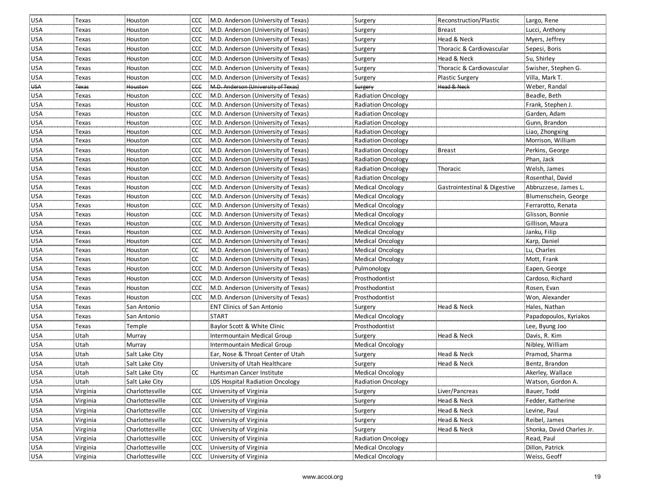| USA        | Texas        | Houston         |               | CCC M.D. Anderson (University of Texas) | Surgery                   | Reconstruction/Plastic       | Largo, Rene               |
|------------|--------------|-----------------|---------------|-----------------------------------------|---------------------------|------------------------------|---------------------------|
| <b>USA</b> | Texas        | Houston         |               | CCC M.D. Anderson (University of Texas) | Surgery                   | <b>Breast</b>                | Lucci, Anthony            |
| <b>USA</b> | Texas        | Houston         |               | CCC M.D. Anderson (University of Texas) | Surgery                   | Head & Neck                  | Myers, Jeffrey            |
| <b>USA</b> | Texas        | Houston         |               | CCC M.D. Anderson (University of Texas) | Surgery                   | Thoracic & Cardiovascular    | Sepesi, Boris             |
| <b>USA</b> | Texas        | Houston         |               | CCC M.D. Anderson (University of Texas) | Surgery                   | Head & Neck                  | Su, Shirley               |
| <b>USA</b> | Texas        | Houston         |               | CCC M.D. Anderson (University of Texas) | Surgery                   | Thoracic & Cardiovascular    | Swisher, Stephen G.       |
| <b>USA</b> | Texas        | Houston         | <b>CCC</b>    | M.D. Anderson (University of Texas)     | Surgery                   | <b>Plastic Surgery</b>       | Villa, Mark T.            |
| <b>USA</b> | <b>Texas</b> | Houston         | ccc           | M.D. Anderson (University of Texas)     | Surgery                   | Head & Neck                  | Weber, Randal             |
| <b>USA</b> | Texas        | Houston         |               | CCC M.D. Anderson (University of Texas) | <b>Radiation Oncology</b> |                              | Beadle, Beth              |
| <b>USA</b> | Texas        | Houston         |               | CCC M.D. Anderson (University of Texas) | <b>Radiation Oncology</b> |                              | Frank, Stephen J          |
| <b>USA</b> | Texas        | Houston         |               | CCC M.D. Anderson (University of Texas) | <b>Radiation Oncology</b> |                              | Garden, Adam              |
| <b>USA</b> | Texas        | Houston         |               | CCC M.D. Anderson (University of Texas) | <b>Radiation Oncology</b> |                              | Gunn, Brandon             |
| <b>USA</b> | Texas        | Houston         | ccc           | M.D. Anderson (University of Texas)     | Radiation Oncology        |                              | Liao, Zhongxing           |
| <b>USA</b> | Texas        | Houston         |               | CCC M.D. Anderson (University of Texas) | <b>Radiation Oncology</b> |                              | Morrison, William         |
| <b>USA</b> | Texas        | Houston         |               | CCC M.D. Anderson (University of Texas) | Radiation Oncology        | <b>Breast</b>                | Perkins, George           |
| <b>USA</b> | Texas        | Houston         |               | CCC M.D. Anderson (University of Texas) | <b>Radiation Oncology</b> |                              | Phan, Jack                |
| USA        | Texas        | Houston         |               | CCC M.D. Anderson (University of Texas) | <b>Radiation Oncology</b> | Thoracic                     | Welsh, James              |
| USA        | Texas        | Houston         | CCC           | M.D. Anderson (University of Texas)     | <b>Radiation Oncology</b> |                              | Rosenthal, David          |
| USA        | Texas        | Houston         |               | CCC M.D. Anderson (University of Texas) | <b>Medical Oncology</b>   | Gastrointestinal & Digestive | Abbruzzese, James L.      |
| <b>USA</b> | Texas        | Houston         |               | CCC M.D. Anderson (University of Texas) | Medical Oncology          |                              | Blumenschein, George      |
| <b>USA</b> | Texas        | Houston         |               | CCC M.D. Anderson (University of Texas) | <b>Medical Oncology</b>   |                              | Ferrarotto, Renata        |
| <b>USA</b> | Texas        | Houston         | <b>CCC</b>    | M.D. Anderson (University of Texas)     | Medical Oncology          |                              | Glisson, Bonnie           |
| <b>USA</b> | Texas        | Houston         |               | CCC M.D. Anderson (University of Texas) | Medical Oncology          |                              | Gillison, Maura           |
| <b>USA</b> | Texas        | Houston         | <b>CCC</b>    | M.D. Anderson (University of Texas)     | <b>Medical Oncology</b>   |                              | Janku, Filip              |
| <b>USA</b> | Texas        | Houston         | <b>CCC</b>    | M.D. Anderson (University of Texas)     | <b>Medical Oncology</b>   |                              | Karp, Daniel              |
| <b>USA</b> | Texas        | Houston         | <sub>cc</sub> | M.D. Anderson (University of Texas)     | Medical Oncology          |                              | Lu, Charles               |
| <b>USA</b> | Texas        | Houston         | <b>CC</b>     | M.D. Anderson (University of Texas)     | Medical Oncology          |                              | Mott, Frank               |
| <b>USA</b> | Texas        | Houston         | <b>CCC</b>    | M.D. Anderson (University of Texas)     | Pulmonology               |                              | Eapen, George             |
| <b>USA</b> | Texas        | Houston         | <b>CCC</b>    | M.D. Anderson (University of Texas)     | Prosthodontist            |                              | Cardoso, Richard          |
| USA        | Texas        | Houston         | CCC           | M.D. Anderson (University of Texas)     | Prosthodontist            |                              | Rosen, Evan               |
| USA        | Texas        | Houston         | ccc           | M.D. Anderson (University of Texas)     | Prosthodontist            |                              | Won, Alexander            |
| <b>USA</b> | Texas        | San Antonio     |               | <b>ENT Clinics of San Antonio</b>       | Surgery                   | Head & Neck                  | Hales, Nathan             |
| <b>USA</b> | Texas        | San Antonio     |               | <b>START</b>                            | Medical Oncology          |                              | Papadopoulos, Kyriakos    |
| <b>USA</b> | Texas        | Temple          |               | Baylor Scott & White Clinic             | Prosthodontist            |                              | Lee, Byung Joo            |
| <b>USA</b> | Utah         | Murray          |               | Intermountain Medical Group             | Surgery                   | Head & Neck                  | Davis, R. Kim             |
| <b>USA</b> | Utah         | Murray          |               | Intermountain Medical Group             | <b>Medical Oncology</b>   |                              | Nibley, William           |
| <b>USA</b> | Utah         | Salt Lake City  |               | Ear, Nose & Throat Center of Utah       | Surgery                   | Head & Neck                  | Pramod, Sharma            |
| <b>USA</b> | Utah         | Salt Lake City  |               | University of Utah Healthcare           | Surgery                   | Head & Neck                  | Bentz, Brandon            |
| <b>USA</b> | Utah         | Salt Lake City  | CC            | Huntsman Cancer Institute               | <b>Medical Oncology</b>   |                              | Akerley, Wallace          |
| <b>USA</b> | Utah         | Salt Lake City  |               | LDS Hospital Radiation Oncology         | Radiation Oncology        |                              | Watson, Gordon A.         |
| USA        | Virginia     | Charlottesville |               | CCC University of Virginia              | Surgery                   | Liver/Pancreas               | Bauer, Todd               |
| USA        | Virginia     | Charlottesville |               | CCC University of Virginia              | Surgery                   | Head & Neck                  | Fedder, Katherine         |
| USA        | Virginia     | Charlottesville | <b>CCC</b>    | University of Virginia                  | Surgery                   | Head & Neck                  | Levine, Paul              |
| USA        | Virginia     | Charlottesville | <b>CCC</b>    | University of Virginia                  | Surgery                   | Head & Neck                  | Reibel, James             |
| <b>USA</b> | Virginia     | Charlottesville | CCC           | University of Virginia                  | Surgery                   | Head & Neck                  | Shonka, David Charles Jr. |
| USA        | Virginia     | Charlottesville | CCC           | University of Virginia                  | <b>Radiation Oncology</b> |                              | Read, Paul                |
| USA        | Virginia     | Charlottesville |               | CCC University of Virginia              | Medical Oncology          |                              | Dillon, Patrick           |
| USA        | Virginia     | Charlottesville |               | CCC University of Virginia              | <b>Medical Oncology</b>   |                              | Weiss, Geoff              |
|            |              |                 |               |                                         |                           |                              |                           |